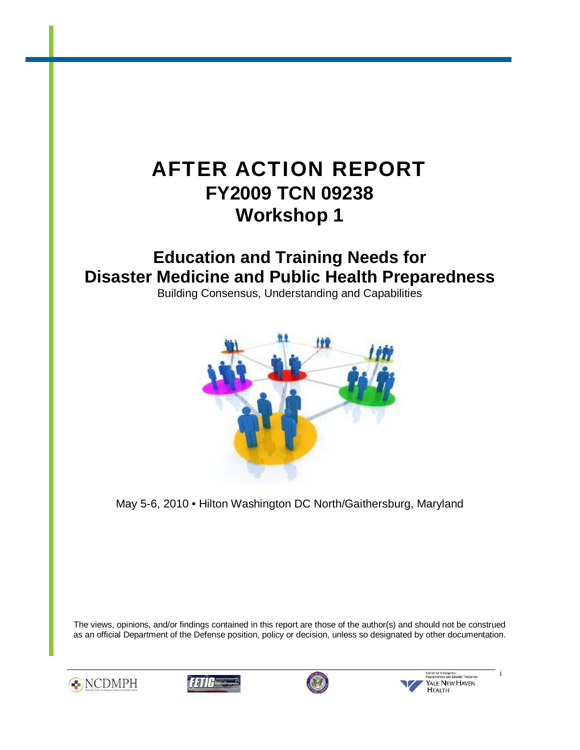# AFTER ACTION REPORT **FY2009 TCN 09238 Workshop 1**

# **Education and Training Needs for Disaster Medicine and Public Health Preparedness**

Building Consensus, Understanding and Capabilities



May 5-6, 2010 • Hilton Washington DC North/Gaithersburg, Maryland

The views, opinions, and/or findings contained in this report are those of the author(s) and should not be construed as an official Department of the Defense position, policy or decision, unless so designated by other documentation.









YALE NEW HAVEN

i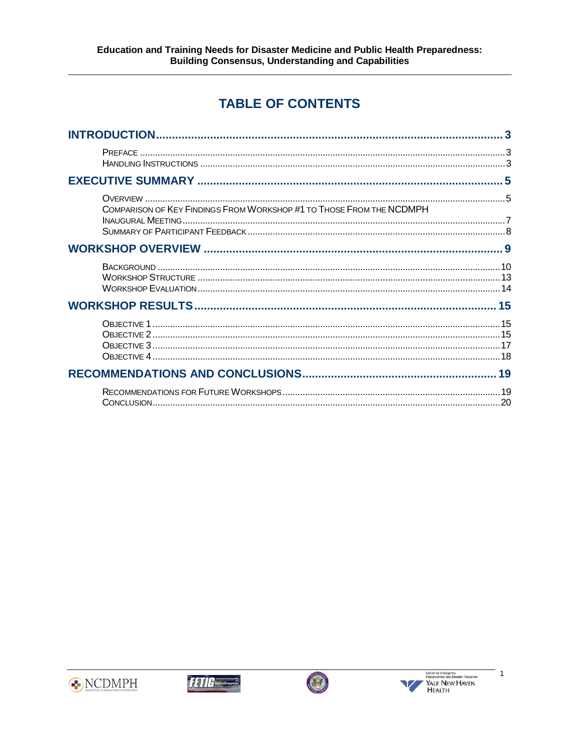# **TABLE OF CONTENTS**

|                                                                      | 3 |
|----------------------------------------------------------------------|---|
|                                                                      |   |
|                                                                      |   |
| COMPARISON OF KEY FINDINGS FROM WORKSHOP #1 TO THOSE FROM THE NCDMPH |   |
|                                                                      |   |
|                                                                      |   |
|                                                                      |   |
|                                                                      |   |
|                                                                      |   |
|                                                                      |   |







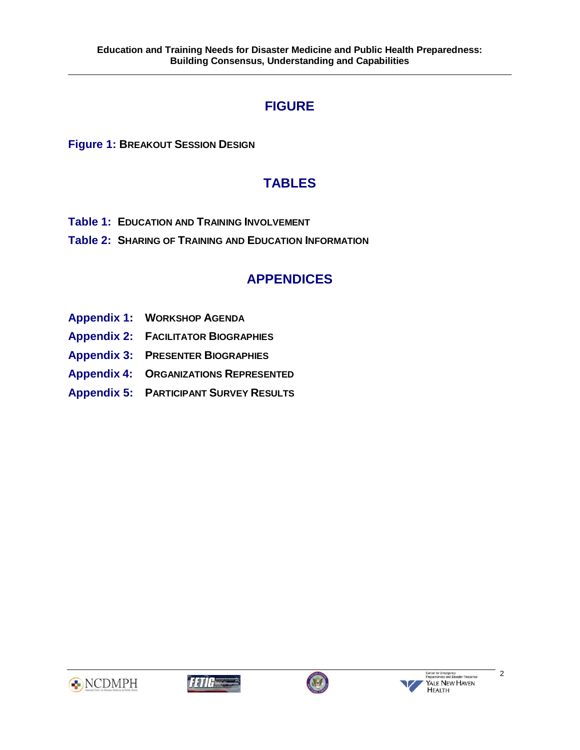# **FIGURE**

**[Figure 1: BREAKOUT SESSION DESIGN](#page-13-0)**

# **TABLES**

- **[Table 1: EDUCATION AND TRAINING INVOLVEMENT](#page-16-0)**
- **[Table 2: SHARING OF TRAINING AND EDUCATION INFORMATION](#page-16-0)**

# **APPENDICES**

- **[Appendix 1: WORKSHOP AGENDA](#page-21-0)**
- **[Appendix 2: FACILITATOR BIOGRAPHIES](#page-25-0)**
- **[Appendix 3: PRESENTER BIOGRAPHIES](#page-30-0)**
- **Appendix [4: ORGANIZATIONS REPRESENTED](#page-41-0)**
- **[Appendix 5: PARTICIPANT SURVEY RESULTS](#page-44-0)**









2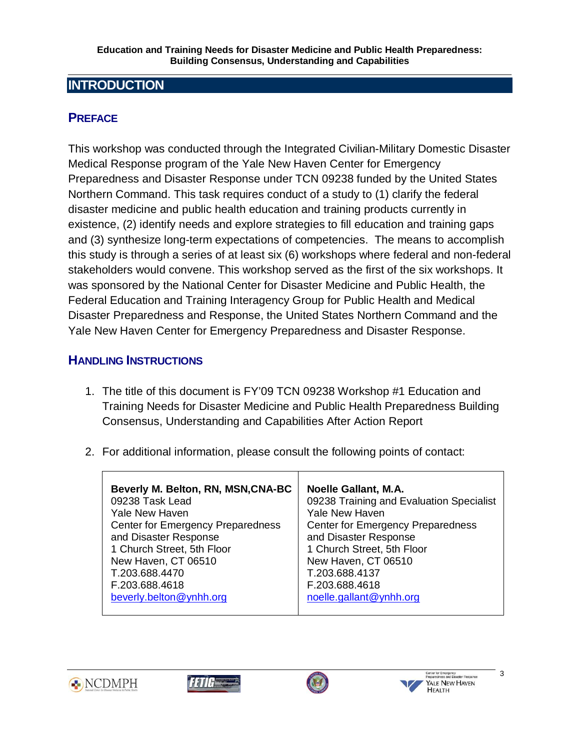# <span id="page-3-0"></span>**INTRODUCTION**

# **PREFACE**

This workshop was conducted through the Integrated Civilian-Military Domestic Disaster Medical Response program of the Yale New Haven Center for Emergency Preparedness and Disaster Response under TCN 09238 funded by the United States Northern Command. This task requires conduct of a study to (1) clarify the federal disaster medicine and public health education and training products currently in existence, (2) identify needs and explore strategies to fill education and training gaps and (3) synthesize long-term expectations of competencies. The means to accomplish this study is through a series of at least six (6) workshops where federal and non-federal stakeholders would convene. This workshop served as the first of the six workshops. It was sponsored by the National Center for Disaster Medicine and Public Health, the Federal Education and Training Interagency Group for Public Health and Medical Disaster Preparedness and Response, the United States Northern Command and the Yale New Haven Center for Emergency Preparedness and Disaster Response.

## **HANDLING INSTRUCTIONS**

- 1. The title of this document is FY'09 TCN 09238 Workshop #1 Education and Training Needs for Disaster Medicine and Public Health Preparedness Building Consensus, Understanding and Capabilities After Action Report
- 2. For additional information, please consult the following points of contact:

| Beverly M. Belton, RN, MSN, CNA-BC       | <b>Noelle Gallant, M.A.</b>              |
|------------------------------------------|------------------------------------------|
| 09238 Task Lead                          | 09238 Training and Evaluation Specialist |
| <b>Yale New Haven</b>                    | <b>Yale New Haven</b>                    |
| <b>Center for Emergency Preparedness</b> | <b>Center for Emergency Preparedness</b> |
| and Disaster Response                    | and Disaster Response                    |
| 1 Church Street, 5th Floor               | 1 Church Street, 5th Floor               |
| New Haven, CT 06510                      | New Haven, CT 06510                      |
| T.203.688.4470                           | T.203.688.4137                           |
| F.203.688.4618                           | F.203.688.4618                           |
| beverly.belton@ynhh.org                  | noelle.gallant@ynhh.org                  |







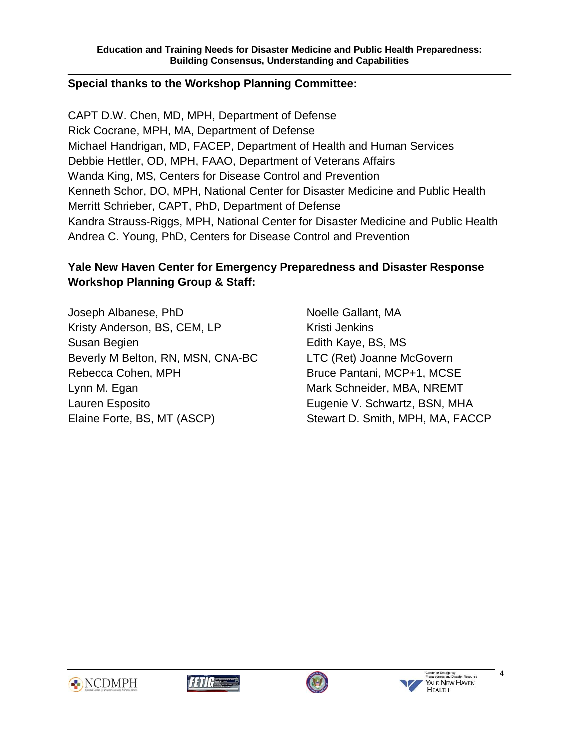#### **Special thanks to the Workshop Planning Committee:**

CAPT D.W. Chen, MD, MPH, Department of Defense Rick Cocrane, MPH, MA, Department of Defense Michael Handrigan, MD, FACEP, Department of Health and Human Services Debbie Hettler, OD, MPH, FAAO, Department of Veterans Affairs Wanda King, MS, Centers for Disease Control and Prevention Kenneth Schor, DO, MPH, National Center for Disaster Medicine and Public Health Merritt Schrieber, CAPT, PhD, Department of Defense Kandra Strauss-Riggs, MPH, National Center for Disaster Medicine and Public Health Andrea C. Young, PhD, Centers for Disease Control and Prevention

### **Yale New Haven Center for Emergency Preparedness and Disaster Response Workshop Planning Group & Staff:**

Joseph Albanese, PhD Noelle Gallant, MA Kristy Anderson, BS, CEM, LP Kristi Jenkins Susan Begien **Edith Kaye, BS, MS** Beverly M Belton, RN, MSN, CNA-BC LTC (Ret) Joanne McGovern Rebecca Cohen, MPH Bruce Pantani, MCP+1, MCSE Lynn M. Egan Mark Schneider, MBA, NREMT Lauren Esposito Eugenie V. Schwartz, BSN, MHA Elaine Forte, BS, MT (ASCP) Stewart D. Smith, MPH, MA, FACCP







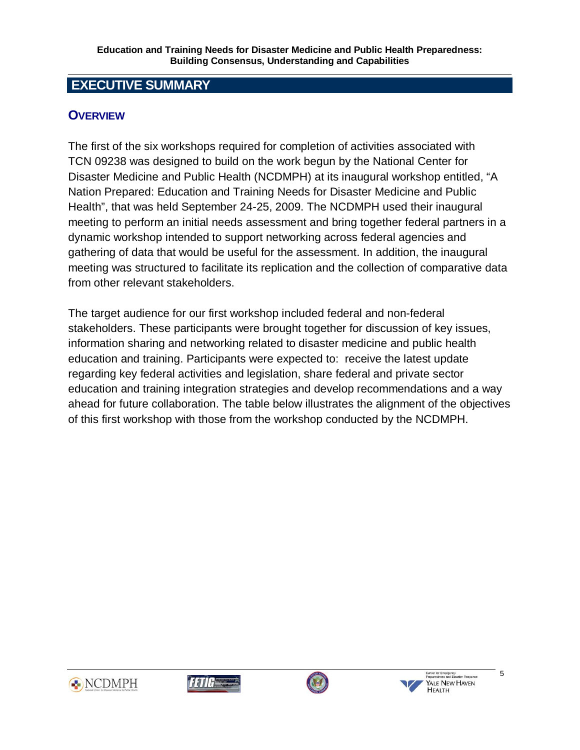# <span id="page-5-0"></span> **EXECUTIVE SUMMARY**

## **OVERVIEW**

The first of the six workshops required for completion of activities associated with TCN 09238 was designed to build on the work begun by the National Center for Disaster Medicine and Public Health (NCDMPH) at its inaugural workshop entitled, "A Nation Prepared: Education and Training Needs for Disaster Medicine and Public Health", that was held September 24-25, 2009. The NCDMPH used their inaugural meeting to perform an initial needs assessment and bring together federal partners in a dynamic workshop intended to support networking across federal agencies and gathering of data that would be useful for the assessment. In addition, the inaugural meeting was structured to facilitate its replication and the collection of comparative data from other relevant stakeholders.

The target audience for our first workshop included federal and non-federal stakeholders. These participants were brought together for discussion of key issues, information sharing and networking related to disaster medicine and public health education and training. Participants were expected to: receive the latest update regarding key federal activities and legislation, share federal and private sector education and training integration strategies and develop recommendations and a way ahead for future collaboration. The table below illustrates the alignment of the objectives of this first workshop with those from the workshop conducted by the NCDMPH.









5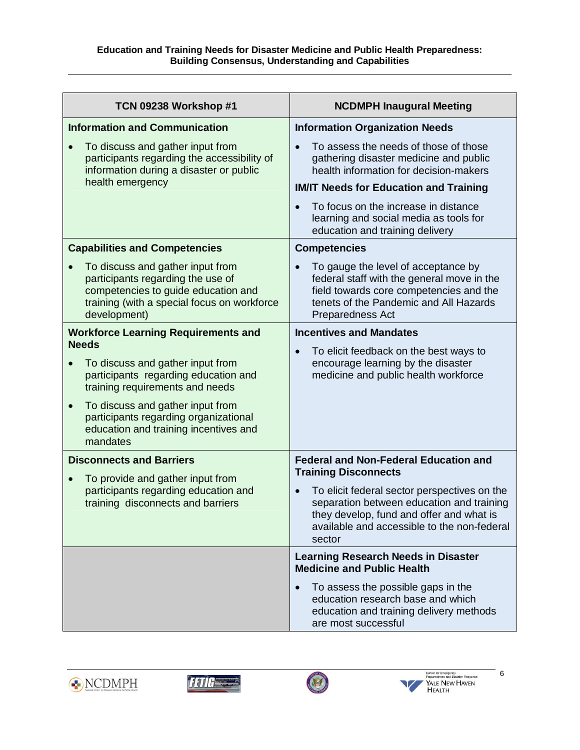| TCN 09238 Workshop #1                                                                                                                                                       | <b>NCDMPH Inaugural Meeting</b>                                                                                                                                                                |  |  |
|-----------------------------------------------------------------------------------------------------------------------------------------------------------------------------|------------------------------------------------------------------------------------------------------------------------------------------------------------------------------------------------|--|--|
| <b>Information and Communication</b>                                                                                                                                        | <b>Information Organization Needs</b>                                                                                                                                                          |  |  |
| To discuss and gather input from<br>participants regarding the accessibility of<br>information during a disaster or public<br>health emergency                              | To assess the needs of those of those<br>gathering disaster medicine and public<br>health information for decision-makers<br><b>IM/IT Needs for Education and Training</b>                     |  |  |
|                                                                                                                                                                             | To focus on the increase in distance                                                                                                                                                           |  |  |
|                                                                                                                                                                             | learning and social media as tools for<br>education and training delivery                                                                                                                      |  |  |
| <b>Capabilities and Competencies</b>                                                                                                                                        | <b>Competencies</b>                                                                                                                                                                            |  |  |
| To discuss and gather input from<br>participants regarding the use of<br>competencies to guide education and<br>training (with a special focus on workforce<br>development) | To gauge the level of acceptance by<br>federal staff with the general move in the<br>field towards core competencies and the<br>tenets of the Pandemic and All Hazards<br>Preparedness Act     |  |  |
| <b>Workforce Learning Requirements and</b>                                                                                                                                  | <b>Incentives and Mandates</b>                                                                                                                                                                 |  |  |
| <b>Needs</b><br>To discuss and gather input from<br>participants regarding education and<br>training requirements and needs                                                 | To elicit feedback on the best ways to<br>encourage learning by the disaster<br>medicine and public health workforce                                                                           |  |  |
| To discuss and gather input from<br>$\bullet$<br>participants regarding organizational<br>education and training incentives and<br>mandates                                 |                                                                                                                                                                                                |  |  |
| <b>Disconnects and Barriers</b>                                                                                                                                             | <b>Federal and Non-Federal Education and</b><br><b>Training Disconnects</b>                                                                                                                    |  |  |
| To provide and gather input from<br>participants regarding education and<br>training disconnects and barriers                                                               | To elicit federal sector perspectives on the<br>separation between education and training<br>they develop, fund and offer and what is<br>available and accessible to the non-federal<br>sector |  |  |
|                                                                                                                                                                             | <b>Learning Research Needs in Disaster</b><br><b>Medicine and Public Health</b>                                                                                                                |  |  |
|                                                                                                                                                                             | To assess the possible gaps in the<br>education research base and which<br>education and training delivery methods<br>are most successful                                                      |  |  |







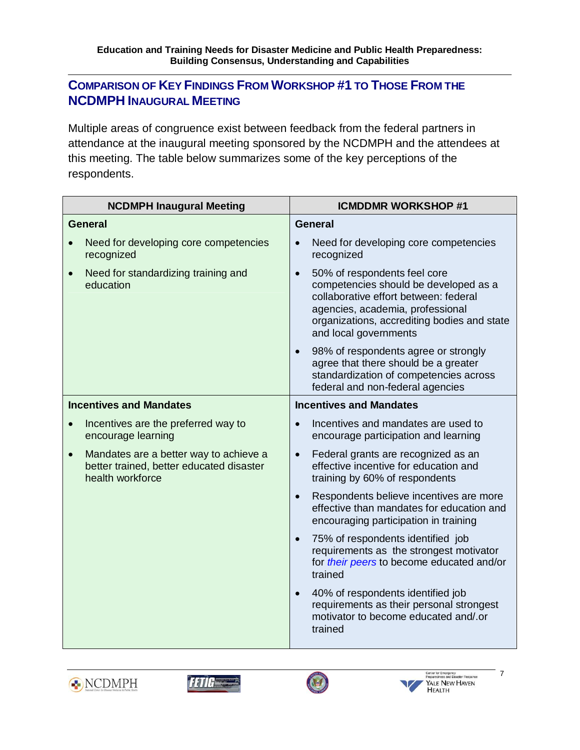# <span id="page-7-0"></span>**COMPARISON OF KEY FINDINGS FROM WORKSHOP #1 TO THOSE FROM THE NCDMPH INAUGURAL MEETING**

Multiple areas of congruence exist between feedback from the federal partners in attendance at the inaugural meeting sponsored by the NCDMPH and the attendees at this meeting. The table below summarizes some of the key perceptions of the respondents.

| <b>NCDMPH Inaugural Meeting</b>                                                                                     | <b>ICMDDMR WORKSHOP #1</b>                                                                                                                                                                                                 |  |  |
|---------------------------------------------------------------------------------------------------------------------|----------------------------------------------------------------------------------------------------------------------------------------------------------------------------------------------------------------------------|--|--|
| <b>General</b>                                                                                                      | <b>General</b>                                                                                                                                                                                                             |  |  |
| Need for developing core competencies<br>recognized                                                                 | Need for developing core competencies<br>recognized                                                                                                                                                                        |  |  |
| Need for standardizing training and<br>$\bullet$<br>education                                                       | 50% of respondents feel core<br>competencies should be developed as a<br>collaborative effort between: federal<br>agencies, academia, professional<br>organizations, accrediting bodies and state<br>and local governments |  |  |
|                                                                                                                     | 98% of respondents agree or strongly<br>$\bullet$<br>agree that there should be a greater<br>standardization of competencies across<br>federal and non-federal agencies                                                    |  |  |
| <b>Incentives and Mandates</b>                                                                                      | <b>Incentives and Mandates</b>                                                                                                                                                                                             |  |  |
| Incentives are the preferred way to<br>encourage learning                                                           | Incentives and mandates are used to<br>encourage participation and learning                                                                                                                                                |  |  |
| Mandates are a better way to achieve a<br>$\bullet$<br>better trained, better educated disaster<br>health workforce | Federal grants are recognized as an<br>$\bullet$<br>effective incentive for education and<br>training by 60% of respondents                                                                                                |  |  |
|                                                                                                                     | Respondents believe incentives are more<br>$\bullet$<br>effective than mandates for education and<br>encouraging participation in training                                                                                 |  |  |
|                                                                                                                     | 75% of respondents identified job<br>$\bullet$<br>requirements as the strongest motivator<br>for their peers to become educated and/or<br>trained                                                                          |  |  |
|                                                                                                                     | 40% of respondents identified job<br>$\bullet$<br>requirements as their personal strongest<br>motivator to become educated and/.or<br>trained                                                                              |  |  |







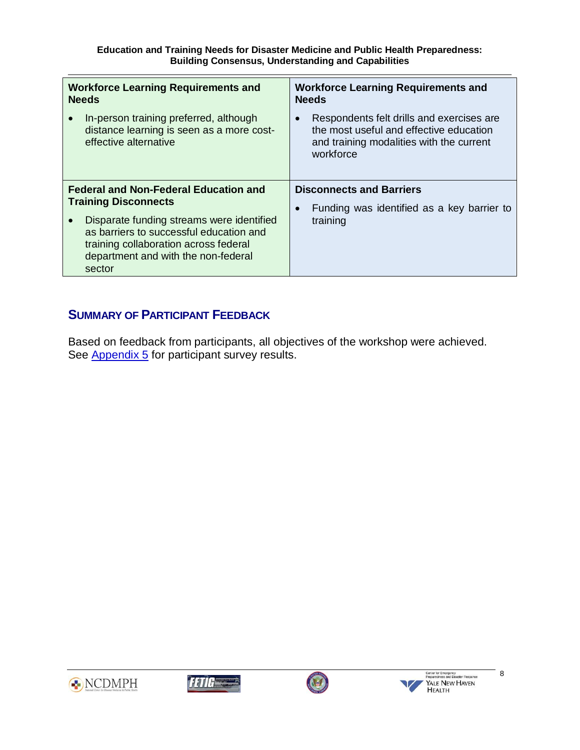<span id="page-8-0"></span>

| <b>Workforce Learning Requirements and</b>                                                                                                                                     | <b>Workforce Learning Requirements and</b>                                                                                                    |  |  |
|--------------------------------------------------------------------------------------------------------------------------------------------------------------------------------|-----------------------------------------------------------------------------------------------------------------------------------------------|--|--|
| <b>Needs</b>                                                                                                                                                                   | <b>Needs</b>                                                                                                                                  |  |  |
| In-person training preferred, although<br>distance learning is seen as a more cost-<br>effective alternative                                                                   | Respondents felt drills and exercises are<br>the most useful and effective education<br>and training modalities with the current<br>workforce |  |  |
| <b>Federal and Non-Federal Education and</b>                                                                                                                                   | <b>Disconnects and Barriers</b>                                                                                                               |  |  |
| <b>Training Disconnects</b>                                                                                                                                                    | Funding was identified as a key barrier to                                                                                                    |  |  |
| Disparate funding streams were identified<br>as barriers to successful education and<br>training collaboration across federal<br>department and with the non-federal<br>sector | training                                                                                                                                      |  |  |

# **SUMMARY OF PARTICIPANT FEEDBACK**

Based on feedback from participants, all objectives of the workshop were achieved. See [Appendix 5 f](#page-44-0)or participant survey results.







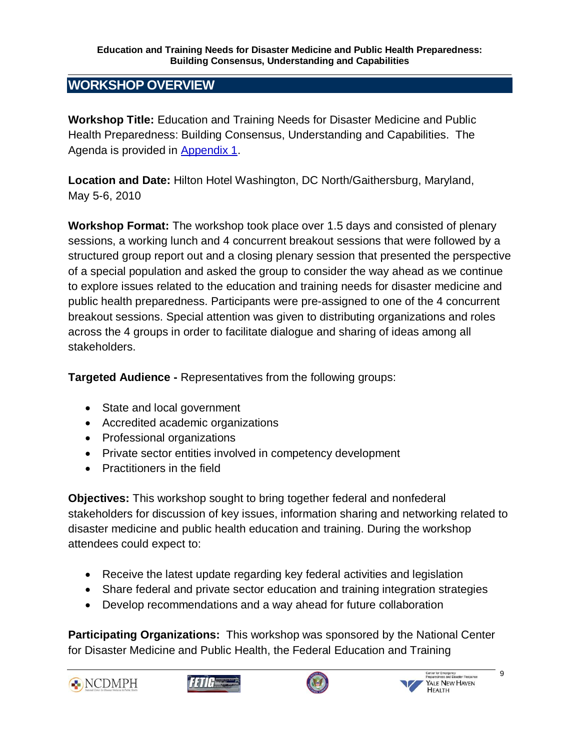#### **Education and Training Needs for Disaster Medicine and Public Health Preparedness: Building Consensus, Understanding and Capabilities**

# <span id="page-9-0"></span>**WORKSHOP OVERVIEW**

**Workshop Title:** Education and Training Needs for Disaster Medicine and Public Health Preparedness: Building Consensus, Understanding and Capabilities. The Agenda is provided in [Appendix 1.](#page-21-0)

**Location and Date:** Hilton Hotel Washington, DC North/Gaithersburg, Maryland, May 5-6, 2010

**Workshop Format:** The workshop took place over 1.5 days and consisted of plenary sessions, a working lunch and 4 concurrent breakout sessions that were followed by a structured group report out and a closing plenary session that presented the perspective of a special population and asked the group to consider the way ahead as we continue to explore issues related to the education and training needs for disaster medicine and public health preparedness. Participants were pre-assigned to one of the 4 concurrent breakout sessions. Special attention was given to distributing organizations and roles across the 4 groups in order to facilitate dialogue and sharing of ideas among all stakeholders.

**Targeted Audience -** Representatives from the following groups:

- State and local government
- Accredited academic organizations
- Professional organizations
- Private sector entities involved in competency development
- Practitioners in the field

**Objectives:** This workshop sought to bring together federal and nonfederal stakeholders for discussion of key issues, information sharing and networking related to disaster medicine and public health education and training. During the workshop attendees could expect to:

- Receive the latest update regarding key federal activities and legislation
- Share federal and private sector education and training integration strategies
- Develop recommendations and a way ahead for future collaboration

**Participating Organizations:** This workshop was sponsored by the National Center for Disaster Medicine and Public Health, the Federal Education and Training







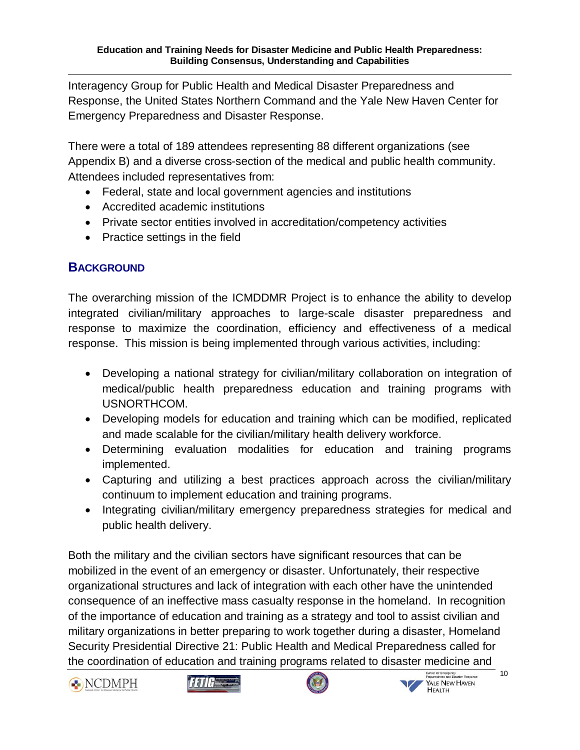<span id="page-10-0"></span>Interagency Group for Public Health and Medical Disaster Preparedness and Response, the United States Northern Command and the Yale New Haven Center for Emergency Preparedness and Disaster Response.

There were a total of 189 attendees representing 88 different organizations (see Appendix B) and a diverse cross-section of the medical and public health community. Attendees included representatives from:

- Federal, state and local government agencies and institutions
- Accredited academic institutions
- Private sector entities involved in accreditation/competency activities
- Practice settings in the field

# **BACKGROUND**

The overarching mission of the ICMDDMR Project is to enhance the ability to develop integrated civilian/military approaches to large-scale disaster preparedness and response to maximize the coordination, efficiency and effectiveness of a medical response. This mission is being implemented through various activities, including:

- Developing a national strategy for civilian/military collaboration on integration of medical/public health preparedness education and training programs with USNORTHCOM.
- Developing models for education and training which can be modified, replicated and made scalable for the civilian/military health delivery workforce.
- Determining evaluation modalities for education and training programs implemented.
- Capturing and utilizing a best practices approach across the civilian/military continuum to implement education and training programs.
- Integrating civilian/military emergency preparedness strategies for medical and public health delivery.

Both the military and the civilian sectors have significant resources that can be mobilized in the event of an emergency or disaster. Unfortunately, their respective organizational structures and lack of integration with each other have the unintended consequence of an ineffective mass casualty response in the homeland. In recognition of the importance of education and training as a strategy and tool to assist civilian and military organizations in better preparing to work together during a disaster, Homeland Security Presidential Directive 21: Public Health and Medical Preparedness called for the coordination of education and training programs related to disaster medicine and







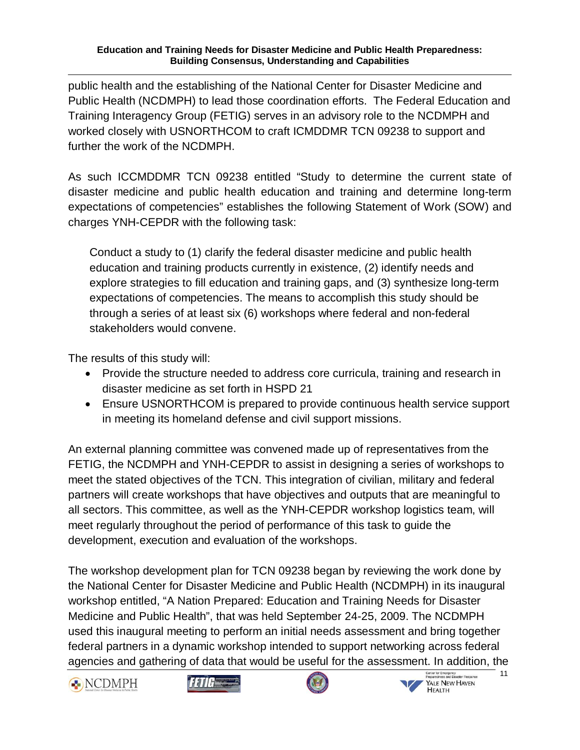#### **Education and Training Needs for Disaster Medicine and Public Health Preparedness: Building Consensus, Understanding and Capabilities**

public health and the establishing of the National Center for Disaster Medicine and Public Health (NCDMPH) to lead those coordination efforts. The Federal Education and Training Interagency Group (FETIG) serves in an advisory role to the NCDMPH and worked closely with USNORTHCOM to craft ICMDDMR TCN 09238 to support and further the work of the NCDMPH.

As such ICCMDDMR TCN 09238 entitled "Study to determine the current state of disaster medicine and public health education and training and determine long-term expectations of competencies" establishes the following Statement of Work (SOW) and charges YNH-CEPDR with the following task:

Conduct a study to (1) clarify the federal disaster medicine and public health education and training products currently in existence, (2) identify needs and explore strategies to fill education and training gaps, and (3) synthesize long-term expectations of competencies. The means to accomplish this study should be through a series of at least six (6) workshops where federal and non-federal stakeholders would convene.

The results of this study will:

- Provide the structure needed to address core curricula, training and research in disaster medicine as set forth in HSPD 21
- Ensure USNORTHCOM is prepared to provide continuous health service support in meeting its homeland defense and civil support missions.

An external planning committee was convened made up of representatives from the FETIG, the NCDMPH and YNH-CEPDR to assist in designing a series of workshops to meet the stated objectives of the TCN. This integration of civilian, military and federal partners will create workshops that have objectives and outputs that are meaningful to all sectors. This committee, as well as the YNH-CEPDR workshop logistics team, will meet regularly throughout the period of performance of this task to guide the development, execution and evaluation of the workshops.

The workshop development plan for TCN 09238 began by reviewing the work done by the National Center for Disaster Medicine and Public Health (NCDMPH) in its inaugural workshop entitled, "A Nation Prepared: Education and Training Needs for Disaster Medicine and Public Health", that was held September 24-25, 2009. The NCDMPH used this inaugural meeting to perform an initial needs assessment and bring together federal partners in a dynamic workshop intended to support networking across federal agencies and gathering of data that would be useful for the assessment. In addition, the







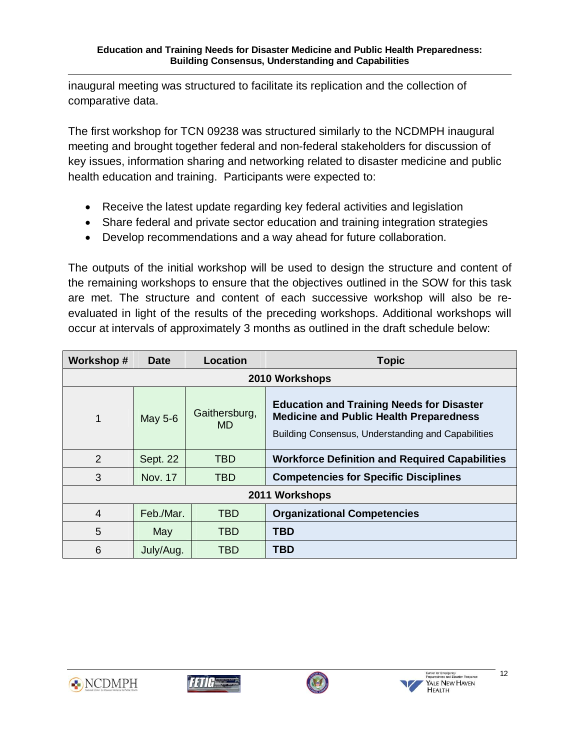inaugural meeting was structured to facilitate its replication and the collection of comparative data.

The first workshop for TCN 09238 was structured similarly to the NCDMPH inaugural meeting and brought together federal and non-federal stakeholders for discussion of key issues, information sharing and networking related to disaster medicine and public health education and training. Participants were expected to:

- Receive the latest update regarding key federal activities and legislation
- Share federal and private sector education and training integration strategies
- Develop recommendations and a way ahead for future collaboration.

The outputs of the initial workshop will be used to design the structure and content of the remaining workshops to ensure that the objectives outlined in the SOW for this task are met. The structure and content of each successive workshop will also be reevaluated in light of the results of the preceding workshops. Additional workshops will occur at intervals of approximately 3 months as outlined in the draft schedule below:

| Workshop#      | <b>Date</b>                           | Location                                                   | <b>Topic</b>                                                                                                                                             |  |  |
|----------------|---------------------------------------|------------------------------------------------------------|----------------------------------------------------------------------------------------------------------------------------------------------------------|--|--|
|                | 2010 Workshops                        |                                                            |                                                                                                                                                          |  |  |
| 1              | Gaithersburg,<br>May 5-6<br><b>MD</b> |                                                            | <b>Education and Training Needs for Disaster</b><br><b>Medicine and Public Health Preparedness</b><br>Building Consensus, Understanding and Capabilities |  |  |
| 2              | Sept. 22                              | <b>TBD</b>                                                 | <b>Workforce Definition and Required Capabilities</b>                                                                                                    |  |  |
| 3              | <b>Nov. 17</b>                        | <b>Competencies for Specific Disciplines</b><br><b>TBD</b> |                                                                                                                                                          |  |  |
| 2011 Workshops |                                       |                                                            |                                                                                                                                                          |  |  |
| 4              | Feb./Mar.                             |                                                            | <b>Organizational Competencies</b>                                                                                                                       |  |  |
| 5              | May                                   | <b>TBD</b>                                                 | <b>TBD</b>                                                                                                                                               |  |  |
| 6              | July/Aug.                             | TBD                                                        | TBD                                                                                                                                                      |  |  |







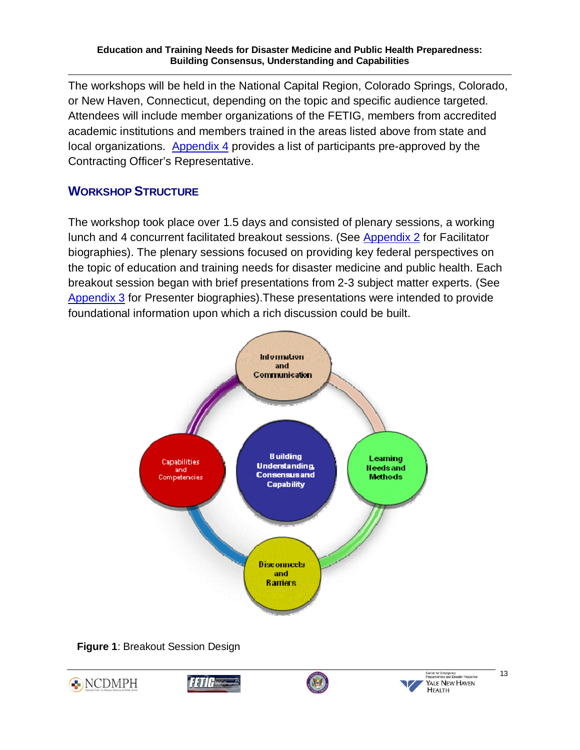#### **Education and Training Needs for Disaster Medicine and Public Health Preparedness: Building Consensus, Understanding and Capabilities**

<span id="page-13-0"></span>The workshops will be held in the National Capital Region, Colorado Springs, Colorado, or New Haven, Connecticut, depending on the topic and specific audience targeted. Attendees will include member organizations of the FETIG, members from accredited academic institutions and members trained in the areas listed above from state and local organizations. [Appendix 4](#page-41-0) provides a list of participants pre-approved by the Contracting Officer's Representative.

# **WORKSHOP STRUCTURE**

The workshop took place over 1.5 days and consisted of plenary sessions, a working lunch and 4 concurrent facilitated breakout sessions. (Se[e Appendix 2](#page-25-0) for Facilitator biographies). The plenary sessions focused on providing key federal perspectives on the topic of education and training needs for disaster medicine and public health. Each breakout session began with brief presentations from 2-3 subject matter experts. (See [Appendix 3](#page-30-0) for Presenter biographies).These presentations were intended to provide foundational information upon which a rich discussion could be built.





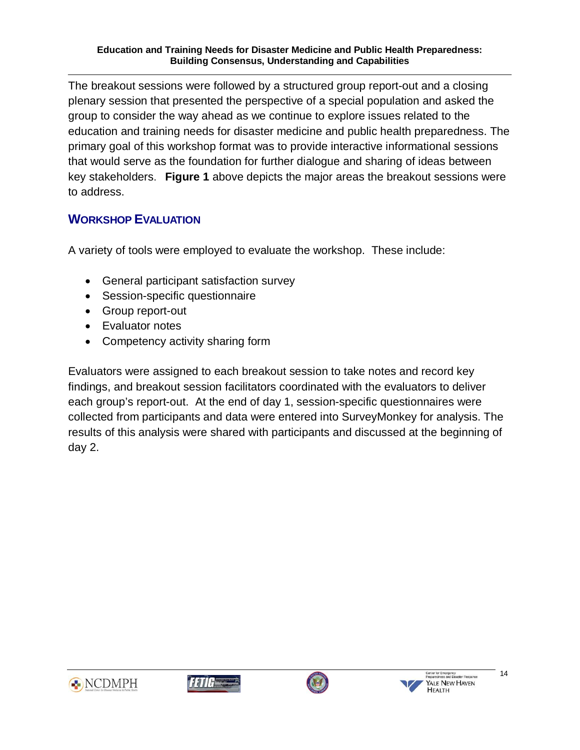<span id="page-14-0"></span>The breakout sessions were followed by a structured group report-out and a closing plenary session that presented the perspective of a special population and asked the group to consider the way ahead as we continue to explore issues related to the education and training needs for disaster medicine and public health preparedness. The primary goal of this workshop format was to provide interactive informational sessions that would serve as the foundation for further dialogue and sharing of ideas between key stakeholders. **Figure 1** above depicts the major areas the breakout sessions were to address.

# **WORKSHOP EVALUATION**

A variety of tools were employed to evaluate the workshop. These include:

- General participant satisfaction survey
- Session-specific questionnaire
- Group report-out
- Evaluator notes
- Competency activity sharing form

Evaluators were assigned to each breakout session to take notes and record key findings, and breakout session facilitators coordinated with the evaluators to deliver each group's report-out. At the end of day 1, session-specific questionnaires were collected from participants and data were entered into SurveyMonkey for analysis. The results of this analysis were shared with participants and discussed at the beginning of day 2.







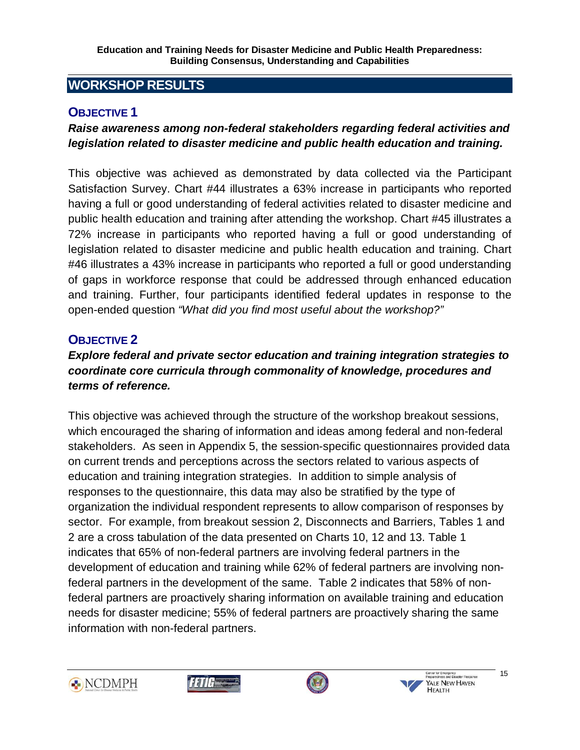# <span id="page-15-0"></span>**WORKSHOP RESULTS**

## **OBJECTIVE 1**

### *Raise awareness among non-federal stakeholders regarding federal activities and legislation related to disaster medicine and public health education and training.*

This objective was achieved as demonstrated by data collected via the Participant Satisfaction Survey. Chart #44 illustrates a 63% increase in participants who reported having a full or good understanding of federal activities related to disaster medicine and public health education and training after attending the workshop. Chart #45 illustrates a 72% increase in participants who reported having a full or good understanding of legislation related to disaster medicine and public health education and training. Chart #46 illustrates a 43% increase in participants who reported a full or good understanding of gaps in workforce response that could be addressed through enhanced education and training. Further, four participants identified federal updates in response to the open-ended question *"What did you find most useful about the workshop?"*

# **OBJECTIVE 2**

### *Explore federal and private sector education and training integration strategies to coordinate core curricula through commonality of knowledge, procedures and terms of reference.*

This objective was achieved through the structure of the workshop breakout sessions, which encouraged the sharing of information and ideas among federal and non-federal stakeholders. As seen in Appendix 5, the session-specific questionnaires provided data on current trends and perceptions across the sectors related to various aspects of education and training integration strategies. In addition to simple analysis of responses to the questionnaire, this data may also be stratified by the type of organization the individual respondent represents to allow comparison of responses by sector. For example, from breakout session 2, Disconnects and Barriers, Tables 1 and 2 are a cross tabulation of the data presented on Charts 10, 12 and 13. Table 1 indicates that 65% of non-federal partners are involving federal partners in the development of education and training while 62% of federal partners are involving nonfederal partners in the development of the same. Table 2 indicates that 58% of nonfederal partners are proactively sharing information on available training and education needs for disaster medicine; 55% of federal partners are proactively sharing the same information with non-federal partners.







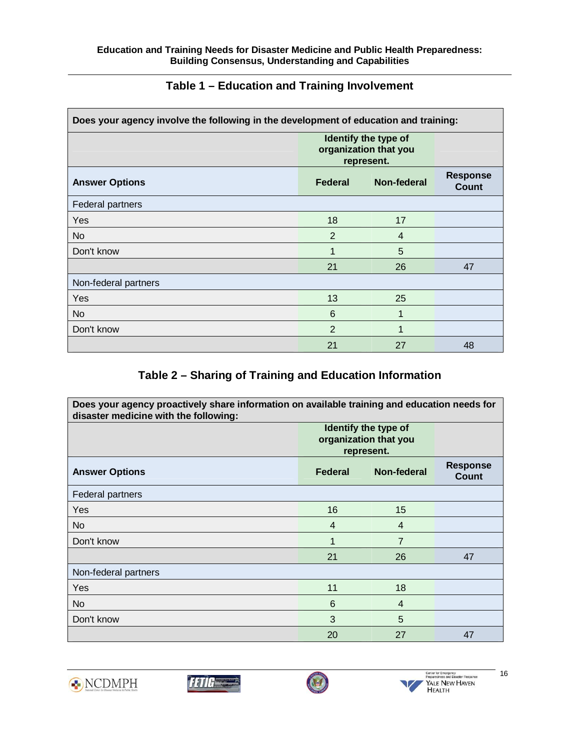<span id="page-16-0"></span>

| Does your agency involve the following in the development of education and training: |                                                             |             |                          |  |
|--------------------------------------------------------------------------------------|-------------------------------------------------------------|-------------|--------------------------|--|
|                                                                                      | Identify the type of<br>organization that you<br>represent. |             |                          |  |
| <b>Answer Options</b>                                                                | Federal                                                     | Non-federal | <b>Response</b><br>Count |  |
| <b>Federal partners</b>                                                              |                                                             |             |                          |  |
| Yes                                                                                  | 18                                                          | 17          |                          |  |
| No                                                                                   | $\overline{2}$                                              | 4           |                          |  |
| Don't know                                                                           | 1                                                           | 5           |                          |  |
|                                                                                      | 21                                                          | 26          | 47                       |  |
| Non-federal partners                                                                 |                                                             |             |                          |  |
| Yes                                                                                  | 13                                                          | 25          |                          |  |
| No.                                                                                  | 6                                                           | 1           |                          |  |
| Don't know                                                                           | $\overline{2}$                                              | 1           |                          |  |
|                                                                                      | 21                                                          | 27          | 48                       |  |

# **Table 1 – Education and Training Involvement**

#### **Table 2 – Sharing of Training and Education Information**

| Does your agency proactively share information on available training and education needs for<br>disaster medicine with the following: |                                                             |                    |                                 |  |
|---------------------------------------------------------------------------------------------------------------------------------------|-------------------------------------------------------------|--------------------|---------------------------------|--|
|                                                                                                                                       | Identify the type of<br>organization that you<br>represent. |                    |                                 |  |
| <b>Answer Options</b>                                                                                                                 | Federal                                                     | <b>Non-federal</b> | <b>Response</b><br><b>Count</b> |  |
| Federal partners                                                                                                                      |                                                             |                    |                                 |  |
| Yes                                                                                                                                   | 16                                                          | 15                 |                                 |  |
| No.                                                                                                                                   | 4                                                           | 4                  |                                 |  |
| Don't know                                                                                                                            | $\overline{1}$                                              | $\overline{7}$     |                                 |  |
|                                                                                                                                       | 21                                                          | 26                 | 47                              |  |
| Non-federal partners                                                                                                                  |                                                             |                    |                                 |  |
| Yes                                                                                                                                   | 11                                                          | 18                 |                                 |  |
| No.                                                                                                                                   | 6                                                           | $\overline{4}$     |                                 |  |
| Don't know                                                                                                                            | 3                                                           | 5                  |                                 |  |
|                                                                                                                                       | 20                                                          | 27                 | 47                              |  |







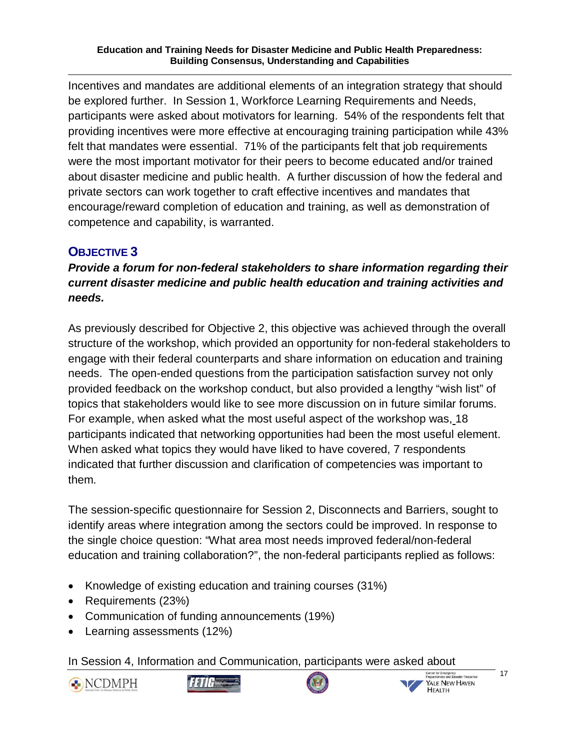**Education and Training Needs for Disaster Medicine and Public Health Preparedness: Building Consensus, Understanding and Capabilities** 

Incentives and mandates are additional elements of an integration strategy that should be explored further. In Session 1, Workforce Learning Requirements and Needs, participants were asked about motivators for learning. 54% of the respondents felt that providing incentives were more effective at encouraging training participation while 43% felt that mandates were essential. 71% of the participants felt that job requirements were the most important motivator for their peers to become educated and/or trained about disaster medicine and public health. A further discussion of how the federal and private sectors can work together to craft effective incentives and mandates that encourage/reward completion of education and training, as well as demonstration of competence and capability, is warranted.

# **OBJECTIVE 3**

*Provide a forum for non-federal stakeholders to share information regarding their current disaster medicine and public health education and training activities and needs.* 

As previously described for Objective 2, this objective was achieved through the overall structure of the workshop, which provided an opportunity for non-federal stakeholders to engage with their federal counterparts and share information on education and training needs. The open-ended questions from the participation satisfaction survey not only provided feedback on the workshop conduct, but also provided a lengthy "wish list" of topics that stakeholders would like to see more discussion on in future similar forums. For example, when asked what the most useful aspect of the workshop was, 18 participants indicated that networking opportunities had been the most useful element. When asked what topics they would have liked to have covered, 7 respondents indicated that further discussion and clarification of competencies was important to them.

The session-specific questionnaire for Session 2, Disconnects and Barriers, sought to identify areas where integration among the sectors could be improved. In response to the single choice question: "What area most needs improved federal/non-federal education and training collaboration?", the non-federal participants replied as follows:

- Knowledge of existing education and training courses (31%)
- Requirements (23%)
- Communication of funding announcements (19%)
- Learning assessments (12%)

In Session 4, Information and Communication, participants were asked about







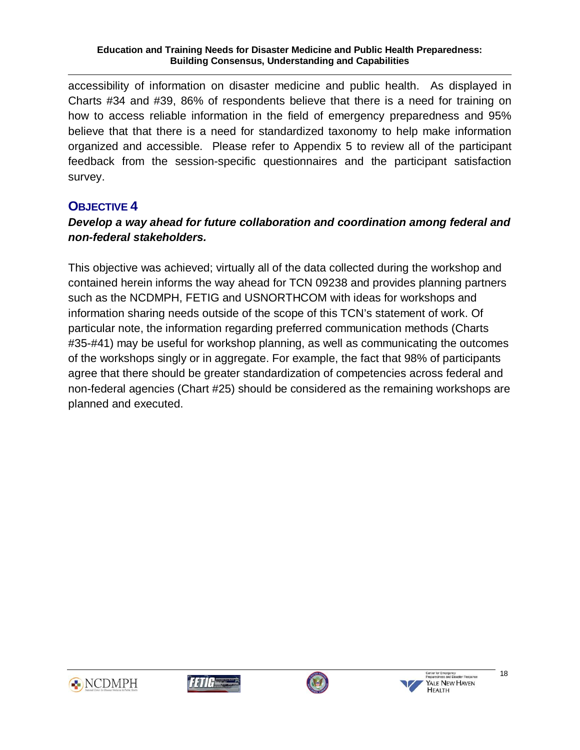#### **Education and Training Needs for Disaster Medicine and Public Health Preparedness: Building Consensus, Understanding and Capabilities**

<span id="page-18-0"></span>accessibility of information on disaster medicine and public health. As displayed in Charts #34 and #39, 86% of respondents believe that there is a need for training on how to access reliable information in the field of emergency preparedness and 95% believe that that there is a need for standardized taxonomy to help make information organized and accessible. Please refer to Appendix 5 to review all of the participant feedback from the session-specific questionnaires and the participant satisfaction survey.

# **OBJECTIVE 4**

## *Develop a way ahead for future collaboration and coordination among federal and non-federal stakeholders.*

This objective was achieved; virtually all of the data collected during the workshop and contained herein informs the way ahead for TCN 09238 and provides planning partners such as the NCDMPH, FETIG and USNORTHCOM with ideas for workshops and information sharing needs outside of the scope of this TCN's statement of work. Of particular note, the information regarding preferred communication methods (Charts #35-#41) may be useful for workshop planning, as well as communicating the outcomes of the workshops singly or in aggregate. For example, the fact that 98% of participants agree that there should be greater standardization of competencies across federal and non-federal agencies (Chart #25) should be considered as the remaining workshops are planned and executed.









18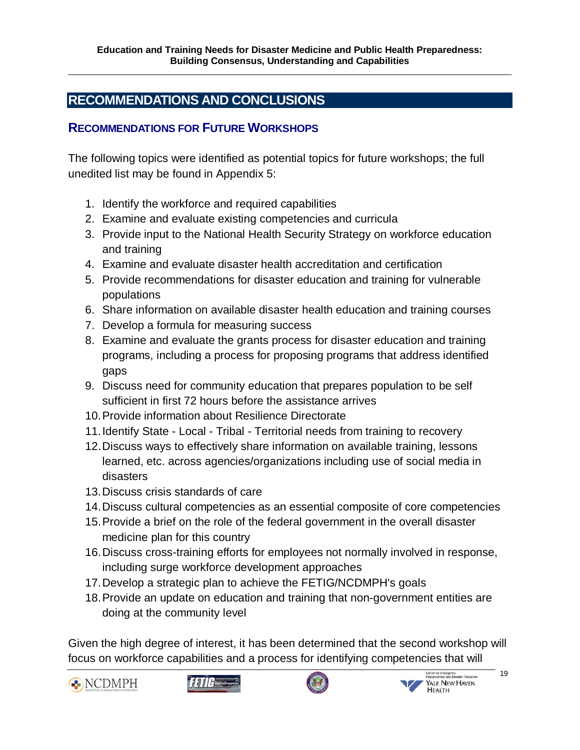# <span id="page-19-0"></span>**RECOMMENDATIONS AND CONCLUSIONS**

### **RECOMMENDATIONS FOR FUTURE WORKSHOPS**

The following topics were identified as potential topics for future workshops; the full unedited list may be found in Appendix 5:

- 1. Identify the workforce and required capabilities
- 2. Examine and evaluate existing competencies and curricula
- 3. Provide input to the National Health Security Strategy on workforce education and training
- 4. Examine and evaluate disaster health accreditation and certification
- 5. Provide recommendations for disaster education and training for vulnerable populations
- 6. Share information on available disaster health education and training courses
- 7. Develop a formula for measuring success
- 8. Examine and evaluate the grants process for disaster education and training programs, including a process for proposing programs that address identified gaps
- 9. Discuss need for community education that prepares population to be self sufficient in first 72 hours before the assistance arrives
- 10. Provide information about Resilience Directorate
- 11. Identify State Local Tribal Territorial needs from training to recovery
- 12. Discuss ways to effectively share information on available training, lessons learned, etc. across agencies/organizations including use of social media in disasters
- 13. Discuss crisis standards of care
- 14. Discuss cultural competencies as an essential composite of core competencies
- 15. Provide a brief on the role of the federal government in the overall disaster medicine plan for this country
- 16. Discuss cross-training efforts for employees not normally involved in response, including surge workforce development approaches
- 17. Develop a strategic plan to achieve the FETIG/NCDMPH's goals
- 18. Provide an update on education and training that non-government entities are doing at the community level

Given the high degree of interest, it has been determined that the second workshop will focus on workforce capabilities and a process for identifying competencies that will









19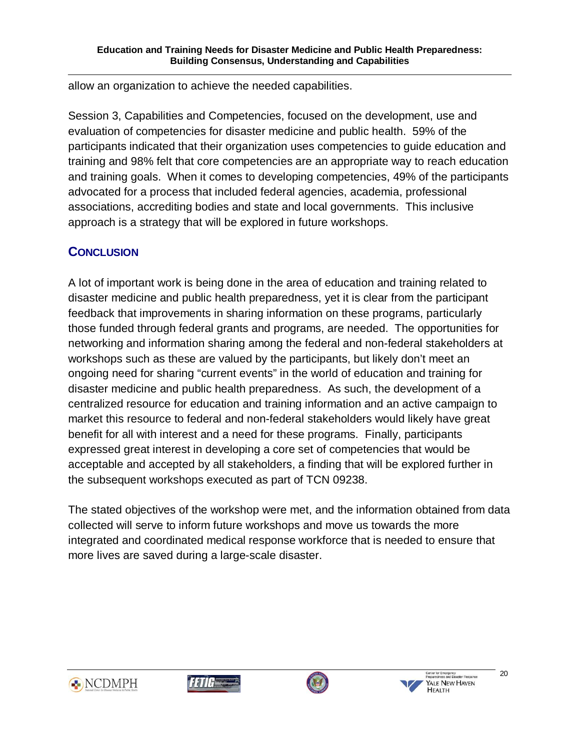<span id="page-20-0"></span>allow an organization to achieve the needed capabilities.

Session 3, Capabilities and Competencies, focused on the development, use and evaluation of competencies for disaster medicine and public health. 59% of the participants indicated that their organization uses competencies to guide education and training and 98% felt that core competencies are an appropriate way to reach education and training goals. When it comes to developing competencies, 49% of the participants advocated for a process that included federal agencies, academia, professional associations, accrediting bodies and state and local governments. This inclusive approach is a strategy that will be explored in future workshops.

# **CONCLUSION**

A lot of important work is being done in the area of education and training related to disaster medicine and public health preparedness, yet it is clear from the participant feedback that improvements in sharing information on these programs, particularly those funded through federal grants and programs, are needed. The opportunities for networking and information sharing among the federal and non-federal stakeholders at workshops such as these are valued by the participants, but likely don't meet an ongoing need for sharing "current events" in the world of education and training for disaster medicine and public health preparedness. As such, the development of a centralized resource for education and training information and an active campaign to market this resource to federal and non-federal stakeholders would likely have great benefit for all with interest and a need for these programs. Finally, participants expressed great interest in developing a core set of competencies that would be acceptable and accepted by all stakeholders, a finding that will be explored further in the subsequent workshops executed as part of TCN 09238.

The stated objectives of the workshop were met, and the information obtained from data collected will serve to inform future workshops and move us towards the more integrated and coordinated medical response workforce that is needed to ensure that more lives are saved during a large-scale disaster.







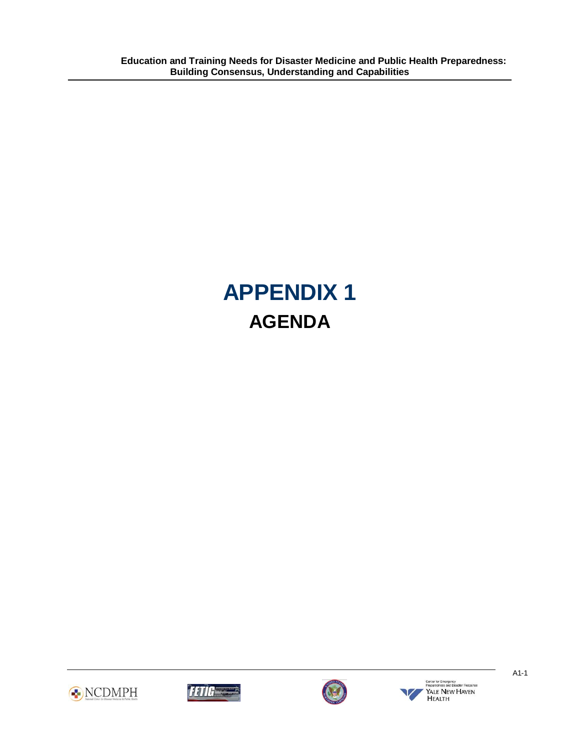# **APPENDIX 1 AGENDA**



<span id="page-21-0"></span>Ī





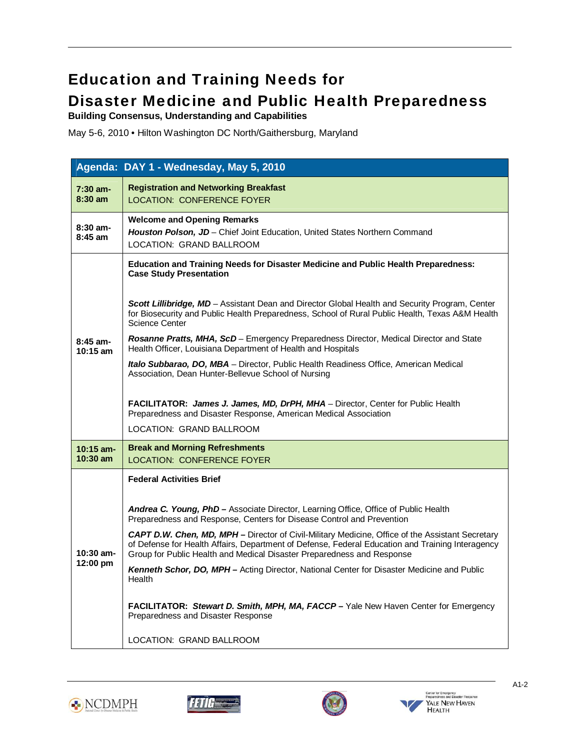# Education and Training Needs for Disaster Medicine and Public Health Preparedness

**Building Consensus, Understanding and Capabilities** 

٦

May 5-6, 2010 • Hilton Washington DC North/Gaithersburg, Maryland

|                                 | Agenda: DAY 1 - Wednesday, May 5, 2010                                                                                                                                                                                                                                                |
|---------------------------------|---------------------------------------------------------------------------------------------------------------------------------------------------------------------------------------------------------------------------------------------------------------------------------------|
| $7:30$ am-<br>$8:30$ am         | <b>Registration and Networking Breakfast</b><br><b>LOCATION: CONFERENCE FOYER</b>                                                                                                                                                                                                     |
| $8:30$ am-<br>$8:45$ am         | <b>Welcome and Opening Remarks</b><br>Houston Polson, JD - Chief Joint Education, United States Northern Command<br>LOCATION: GRAND BALLROOM                                                                                                                                          |
|                                 | <b>Education and Training Needs for Disaster Medicine and Public Health Preparedness:</b><br><b>Case Study Presentation</b>                                                                                                                                                           |
|                                 | Scott Lillibridge, MD - Assistant Dean and Director Global Health and Security Program, Center<br>for Biosecurity and Public Health Preparedness, School of Rural Public Health, Texas A&M Health<br><b>Science Center</b>                                                            |
| $8:45$ am-<br>$10:15$ am        | Rosanne Pratts, MHA, ScD - Emergency Preparedness Director, Medical Director and State<br>Health Officer, Louisiana Department of Health and Hospitals                                                                                                                                |
|                                 | Italo Subbarao, DO, MBA - Director, Public Health Readiness Office, American Medical<br>Association, Dean Hunter-Bellevue School of Nursing                                                                                                                                           |
|                                 | FACILITATOR: James J. James, MD, DrPH, MHA - Director, Center for Public Health<br>Preparedness and Disaster Response, American Medical Association                                                                                                                                   |
|                                 | LOCATION: GRAND BALLROOM                                                                                                                                                                                                                                                              |
| $10:15$ am-<br>$10:30$ am       | <b>Break and Morning Refreshments</b><br><b>LOCATION: CONFERENCE FOYER</b>                                                                                                                                                                                                            |
|                                 | <b>Federal Activities Brief</b>                                                                                                                                                                                                                                                       |
| 10:30 am-<br>$12:00 \text{ pm}$ | Andrea C. Young, PhD - Associate Director, Learning Office, Office of Public Health<br>Preparedness and Response, Centers for Disease Control and Prevention                                                                                                                          |
|                                 | <b>CAPT D.W. Chen, MD, MPH –</b> Director of Civil-Military Medicine, Office of the Assistant Secretary<br>of Defense for Health Affairs, Department of Defense, Federal Education and Training Interagency<br>Group for Public Health and Medical Disaster Preparedness and Response |
|                                 | Kenneth Schor, DO, MPH - Acting Director, National Center for Disaster Medicine and Public<br>Health                                                                                                                                                                                  |
|                                 | FACILITATOR: Stewart D. Smith, MPH, MA, FACCP - Yale New Haven Center for Emergency<br>Preparedness and Disaster Response                                                                                                                                                             |
|                                 | LOCATION: GRAND BALLROOM                                                                                                                                                                                                                                                              |







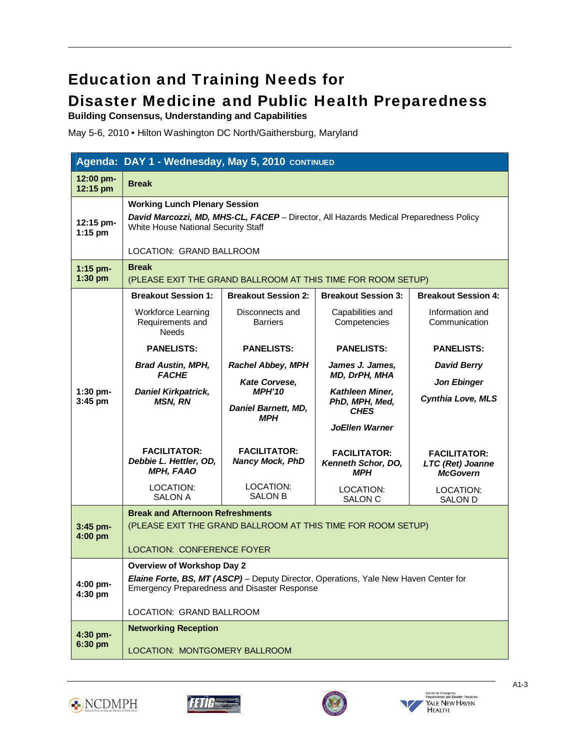# Education and Training Needs for Disaster Medicine and Public Health Preparedness

**Building Consensus, Understanding and Capabilities** 

٦

May 5-6, 2010 • Hilton Washington DC North/Gaithersburg, Maryland

|                         | Agenda: DAY 1 - Wednesday, May 5, 2010 CONTINUED                                                                                                                                                 |                                                                     |                                                         |                                                            |  |  |  |
|-------------------------|--------------------------------------------------------------------------------------------------------------------------------------------------------------------------------------------------|---------------------------------------------------------------------|---------------------------------------------------------|------------------------------------------------------------|--|--|--|
| 12:00 pm-<br>12:15 pm   | <b>Break</b>                                                                                                                                                                                     |                                                                     |                                                         |                                                            |  |  |  |
| 12:15 pm-<br>$1:15$ pm  | <b>Working Lunch Plenary Session</b><br>David Marcozzi, MD, MHS-CL, FACEP - Director, All Hazards Medical Preparedness Policy<br>White House National Security Staff<br>LOCATION: GRAND BALLROOM |                                                                     |                                                         |                                                            |  |  |  |
| $1:15$ pm-<br>$1:30$ pm | <b>Break</b>                                                                                                                                                                                     | (PLEASE EXIT THE GRAND BALLROOM AT THIS TIME FOR ROOM SETUP)        |                                                         |                                                            |  |  |  |
|                         | <b>Breakout Session 1:</b>                                                                                                                                                                       | <b>Breakout Session 2:</b>                                          | <b>Breakout Session 3:</b>                              | <b>Breakout Session 4:</b>                                 |  |  |  |
|                         | Workforce Learning<br>Requirements and<br><b>Needs</b>                                                                                                                                           | Disconnects and<br><b>Barriers</b>                                  | Capabilities and<br>Competencies                        | Information and<br>Communication                           |  |  |  |
|                         | <b>PANELISTS:</b>                                                                                                                                                                                | <b>PANELISTS:</b>                                                   | <b>PANELISTS:</b>                                       | <b>PANELISTS:</b>                                          |  |  |  |
|                         | <b>Brad Austin, MPH,</b><br><b>FACHE</b>                                                                                                                                                         | <b>Rachel Abbey, MPH</b>                                            | James J. James,<br>MD, DrPH, MHA                        | <b>David Berry</b>                                         |  |  |  |
| $1:30$ pm-<br>3:45 pm   | <b>Daniel Kirkpatrick,</b><br><b>MSN, RN</b>                                                                                                                                                     | Kate Corvese,<br><b>MPH'10</b><br>Daniel Barnett, MD,<br><b>MPH</b> | Kathleen Miner,<br>PhD, MPH, Med,<br><b>CHES</b>        | <b>Jon Ebinger</b><br><b>Cynthia Love, MLS</b>             |  |  |  |
|                         |                                                                                                                                                                                                  |                                                                     | <b>JoEllen Warner</b>                                   |                                                            |  |  |  |
|                         | <b>FACILITATOR:</b><br>Debbie L. Hettler, OD,<br><b>MPH, FAAO</b>                                                                                                                                | <b>FACILITATOR:</b><br><b>Nancy Mock, PhD</b>                       | <b>FACILITATOR:</b><br>Kenneth Schor, DO,<br><b>MPH</b> | <b>FACILITATOR:</b><br>LTC (Ret) Joanne<br><b>McGovern</b> |  |  |  |
|                         | LOCATION:<br><b>SALON A</b>                                                                                                                                                                      | LOCATION:<br><b>SALON B</b>                                         | LOCATION:<br><b>SALON C</b>                             | LOCATION:<br><b>SALON D</b>                                |  |  |  |
| 3:45 pm-<br>4:00 pm     | <b>Break and Afternoon Refreshments</b><br>(PLEASE EXIT THE GRAND BALLROOM AT THIS TIME FOR ROOM SETUP)                                                                                          |                                                                     |                                                         |                                                            |  |  |  |
|                         | <b>LOCATION: CONFERENCE FOYER</b>                                                                                                                                                                |                                                                     |                                                         |                                                            |  |  |  |
| 4:00 pm-<br>$4:30$ pm   | <b>Overview of Workshop Day 2</b><br>Elaine Forte, BS, MT (ASCP) - Deputy Director, Operations, Yale New Haven Center for<br><b>Emergency Preparedness and Disaster Response</b>                 |                                                                     |                                                         |                                                            |  |  |  |
|                         | LOCATION: GRAND BALLROOM                                                                                                                                                                         |                                                                     |                                                         |                                                            |  |  |  |
| 4:30 pm-<br>6:30 pm     | <b>Networking Reception</b><br>LOCATION: MONTGOMERY BALLROOM                                                                                                                                     |                                                                     |                                                         |                                                            |  |  |  |







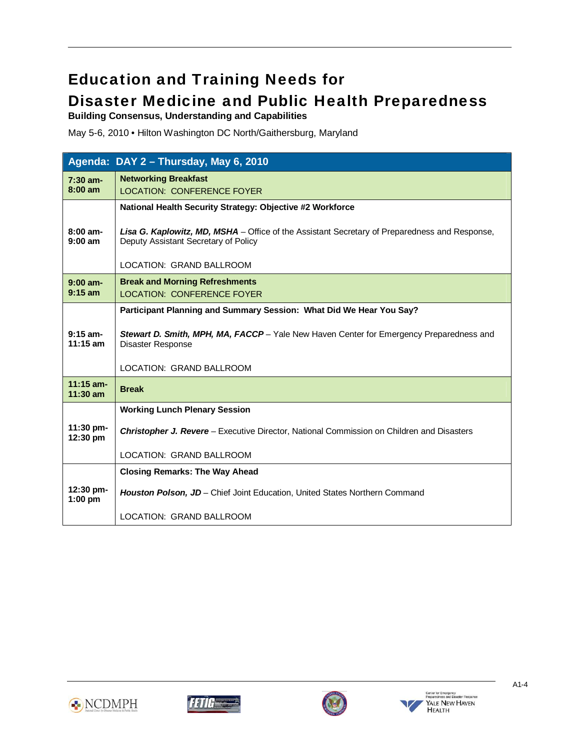# Education and Training Needs for

# Disaster Medicine and Public Health Preparedness

**Building Consensus, Understanding and Capabilities** 

٦

May 5-6, 2010 • Hilton Washington DC North/Gaithersburg, Maryland

|                           | Agenda: DAY 2 - Thursday, May 6, 2010                                                                                                        |
|---------------------------|----------------------------------------------------------------------------------------------------------------------------------------------|
| $7:30$ am-<br>$8:00$ am   | <b>Networking Breakfast</b><br><b>LOCATION: CONFERENCE FOYER</b>                                                                             |
|                           | National Health Security Strategy: Objective #2 Workforce                                                                                    |
| $8:00$ am-<br>$9:00$ am   | <b>Lisa G. Kaplowitz, MD, MSHA</b> – Office of the Assistant Secretary of Preparedness and Response,<br>Deputy Assistant Secretary of Policy |
|                           | LOCATION: GRAND BALLROOM                                                                                                                     |
| $9:00$ am-<br>$9:15$ am   | <b>Break and Morning Refreshments</b><br><b>LOCATION: CONFERENCE FOYER</b>                                                                   |
|                           | Participant Planning and Summary Session: What Did We Hear You Say?                                                                          |
| $9:15$ am-<br>$11:15$ am  | Stewart D. Smith, MPH, MA, FACCP - Yale New Haven Center for Emergency Preparedness and<br>Disaster Response                                 |
|                           | LOCATION: GRAND BALLROOM                                                                                                                     |
| $11:15$ am-<br>$11:30$ am | <b>Break</b>                                                                                                                                 |
|                           | <b>Working Lunch Plenary Session</b>                                                                                                         |
| $11:30$ pm-<br>12:30 pm   | <b>Christopher J. Revere</b> - Executive Director, National Commission on Children and Disasters                                             |
|                           | LOCATION: GRAND BALLROOM                                                                                                                     |
|                           | <b>Closing Remarks: The Way Ahead</b>                                                                                                        |
| $12:30$ pm-<br>$1:00$ pm  | <b>Houston Polson, JD</b> – Chief Joint Education, United States Northern Command                                                            |
|                           | LOCATION: GRAND BALLROOM                                                                                                                     |







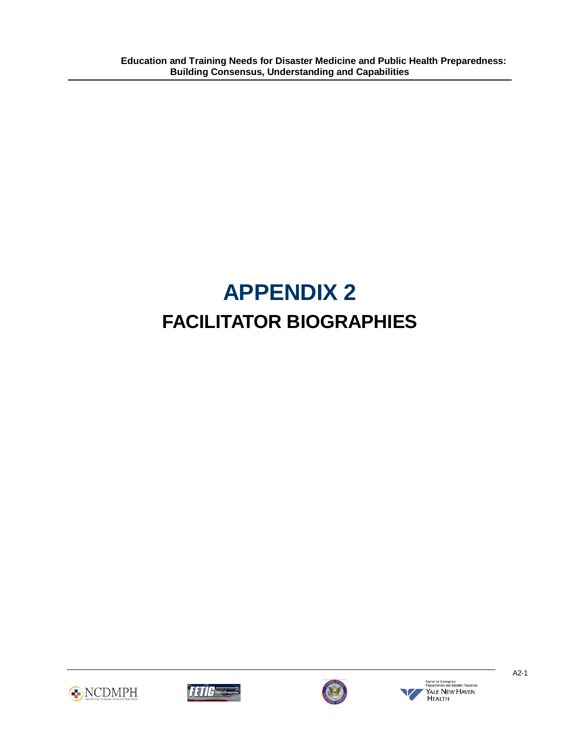# **APPENDIX 2 FACILITATOR BIOGRAPHIES**



<span id="page-25-0"></span>Ī







A2-1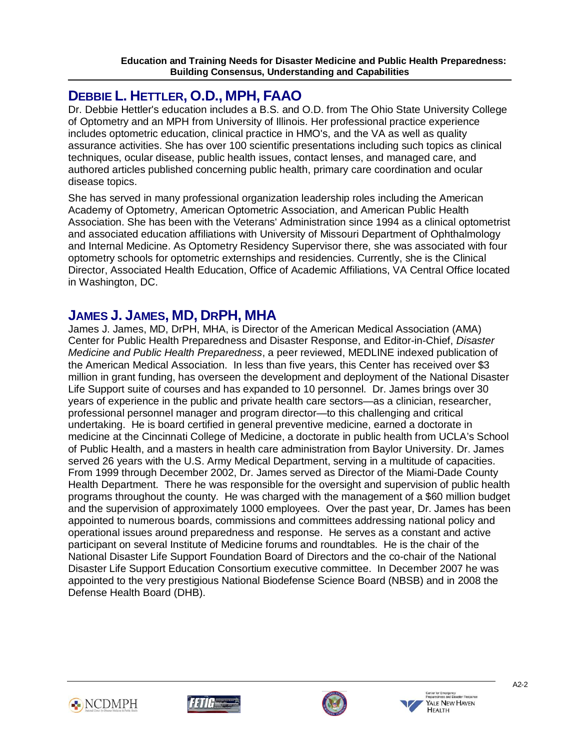#### Ī **DEBBIE L. HETTLER, O.D., MPH, FAAO**

Dr. Debbie Hettler's education includes a B.S. and O.D. from The Ohio State University College of Optometry and an MPH from University of Illinois. Her professional practice experience includes optometric education, clinical practice in HMO's, and the VA as well as quality assurance activities. She has over 100 scientific presentations including such topics as clinical techniques, ocular disease, public health issues, contact lenses, and managed care, and authored articles published concerning public health, primary care coordination and ocular disease topics.

She has served in many professional organization leadership roles including the American Academy of Optometry, American Optometric Association, and American Public Health Association. She has been with the Veterans' Administration since 1994 as a clinical optometrist and associated education affiliations with University of Missouri Department of Ophthalmology and Internal Medicine. As Optometry Residency Supervisor there, she was associated with four optometry schools for optometric externships and residencies. Currently, she is the Clinical Director, Associated Health Education, Office of Academic Affiliations, VA Central Office located in Washington, DC.

# **JAMES J. JAMES, MD, DRPH, MHA**

James J. James, MD, DrPH, MHA, is Director of the American Medical Association (AMA) Center for Public Health Preparedness and Disaster Response, and Editor-in-Chief, *Disaster Medicine and Public Health Preparedness*, a peer reviewed, MEDLINE indexed publication of the American Medical Association. In less than five years, this Center has received over \$3 million in grant funding, has overseen the development and deployment of the National Disaster Life Support suite of courses and has expanded to 10 personnel. Dr. James brings over 30 years of experience in the public and private health care sectors—as a clinician, researcher, professional personnel manager and program director—to this challenging and critical undertaking. He is board certified in general preventive medicine, earned a doctorate in medicine at the Cincinnati College of Medicine, a doctorate in public health from UCLA's School of Public Health, and a masters in health care administration from Baylor University. Dr. James served 26 years with the U.S. Army Medical Department, serving in a multitude of capacities. From 1999 through December 2002, Dr. James served as Director of the Miami-Dade County Health Department. There he was responsible for the oversight and supervision of public health programs throughout the county. He was charged with the management of a \$60 million budget and the supervision of approximately 1000 employees. Over the past year, Dr. James has been appointed to numerous boards, commissions and committees addressing national policy and operational issues around preparedness and response. He serves as a constant and active participant on several Institute of Medicine forums and roundtables. He is the chair of the National Disaster Life Support Foundation Board of Directors and the co-chair of the National Disaster Life Support Education Consortium executive committee. In December 2007 he was appointed to the very prestigious National Biodefense Science Board (NBSB) and in 2008 the Defense Health Board (DHB).









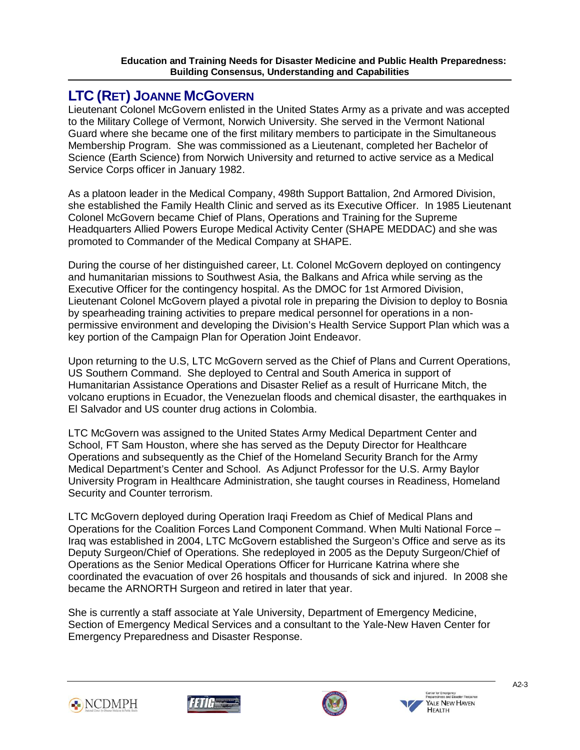# **LTC (RET) JOANNE MCGOVERN**

Ī

Lieutenant Colonel McGovern enlisted in the United States Army as a private and was accepted to the Military College of Vermont, Norwich University. She served in the Vermont National Guard where she became one of the first military members to participate in the Simultaneous Membership Program. She was commissioned as a Lieutenant, completed her Bachelor of Science (Earth Science) from Norwich University and returned to active service as a Medical Service Corps officer in January 1982.

As a platoon leader in the Medical Company, 498th Support Battalion, 2nd Armored Division, she established the Family Health Clinic and served as its Executive Officer. In 1985 Lieutenant Colonel McGovern became Chief of Plans, Operations and Training for the Supreme Headquarters Allied Powers Europe Medical Activity Center (SHAPE MEDDAC) and she was promoted to Commander of the Medical Company at SHAPE.

During the course of her distinguished career, Lt. Colonel McGovern deployed on contingency and humanitarian missions to Southwest Asia, the Balkans and Africa while serving as the Executive Officer for the contingency hospital. As the DMOC for 1st Armored Division, Lieutenant Colonel McGovern played a pivotal role in preparing the Division to deploy to Bosnia by spearheading training activities to prepare medical personnel for operations in a nonpermissive environment and developing the Division's Health Service Support Plan which was a key portion of the Campaign Plan for Operation Joint Endeavor.

Upon returning to the U.S, LTC McGovern served as the Chief of Plans and Current Operations, US Southern Command. She deployed to Central and South America in support of Humanitarian Assistance Operations and Disaster Relief as a result of Hurricane Mitch, the volcano eruptions in Ecuador, the Venezuelan floods and chemical disaster, the earthquakes in El Salvador and US counter drug actions in Colombia.

LTC McGovern was assigned to the United States Army Medical Department Center and School, FT Sam Houston, where she has served as the Deputy Director for Healthcare Operations and subsequently as the Chief of the Homeland Security Branch for the Army Medical Department's Center and School. As Adjunct Professor for the U.S. Army Baylor University Program in Healthcare Administration, she taught courses in Readiness, Homeland Security and Counter terrorism.

LTC McGovern deployed during Operation Iraqi Freedom as Chief of Medical Plans and Operations for the Coalition Forces Land Component Command. When Multi National Force – Iraq was established in 2004, LTC McGovern established the Surgeon's Office and serve as its Deputy Surgeon/Chief of Operations. She redeployed in 2005 as the Deputy Surgeon/Chief of Operations as the Senior Medical Operations Officer for Hurricane Katrina where she coordinated the evacuation of over 26 hospitals and thousands of sick and injured. In 2008 she became the ARNORTH Surgeon and retired in later that year.

She is currently a staff associate at Yale University, Department of Emergency Medicine, Section of Emergency Medical Services and a consultant to the Yale-New Haven Center for Emergency Preparedness and Disaster Response.







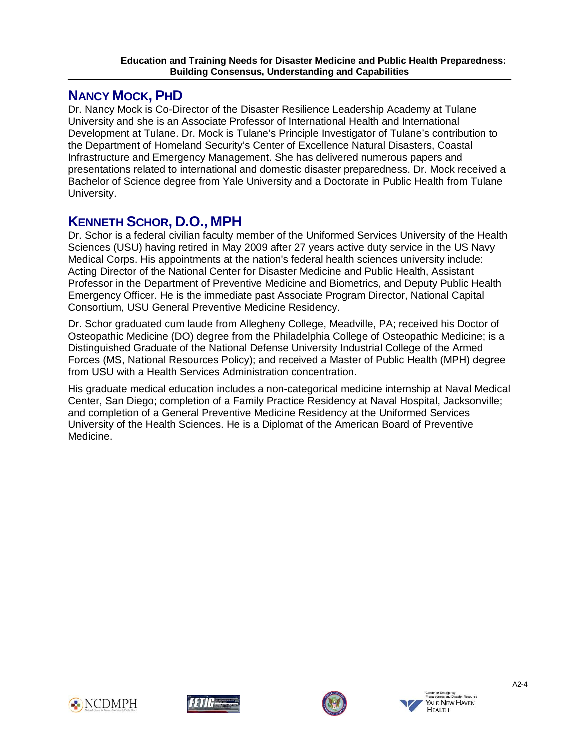## **NANCY MOCK, PHD**

Ī

Dr. Nancy Mock is Co-Director of the Disaster Resilience Leadership Academy at Tulane University and she is an Associate Professor of International Health and International Development at Tulane. Dr. Mock is Tulane's Principle Investigator of Tulane's contribution to the Department of Homeland Security's Center of Excellence Natural Disasters, Coastal Infrastructure and Emergency Management. She has delivered numerous papers and presentations related to international and domestic disaster preparedness. Dr. Mock received a Bachelor of Science degree from Yale University and a Doctorate in Public Health from Tulane University.

# **KENNETH SCHOR, D.O., MPH**

Dr. Schor is a federal civilian faculty member of the Uniformed Services University of the Health Sciences (USU) having retired in May 2009 after 27 years active duty service in the US Navy Medical Corps. His appointments at the nation's federal health sciences university include: Acting Director of the National Center for Disaster Medicine and Public Health, Assistant Professor in the Department of Preventive Medicine and Biometrics, and Deputy Public Health Emergency Officer. He is the immediate past Associate Program Director, National Capital Consortium, USU General Preventive Medicine Residency.

Dr. Schor graduated cum laude from Allegheny College, Meadville, PA; received his Doctor of Osteopathic Medicine (DO) degree from the Philadelphia College of Osteopathic Medicine; is a Distinguished Graduate of the National Defense University Industrial College of the Armed Forces (MS, National Resources Policy); and received a Master of Public Health (MPH) degree from USU with a Health Services Administration concentration.

His graduate medical education includes a non-categorical medicine internship at Naval Medical Center, San Diego; completion of a Family Practice Residency at Naval Hospital, Jacksonville; and completion of a General Preventive Medicine Residency at the Uniformed Services University of the Health Sciences. He is a Diplomat of the American Board of Preventive Medicine.







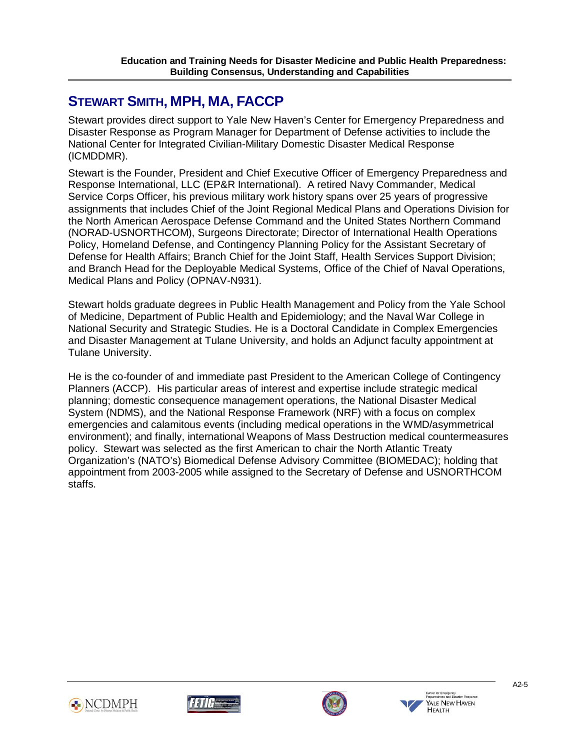# **STEWART SMITH, MPH, MA, FACCP**

Ī

Stewart provides direct support to Yale New Haven's Center for Emergency Preparedness and Disaster Response as Program Manager for Department of Defense activities to include the National Center for Integrated Civilian-Military Domestic Disaster Medical Response (ICMDDMR).

Stewart is the Founder, President and Chief Executive Officer of Emergency Preparedness and Response International, LLC (EP&R International). A retired Navy Commander, Medical Service Corps Officer, his previous military work history spans over 25 years of progressive assignments that includes Chief of the Joint Regional Medical Plans and Operations Division for the North American Aerospace Defense Command and the United States Northern Command (NORAD-USNORTHCOM), Surgeons Directorate; Director of International Health Operations Policy, Homeland Defense, and Contingency Planning Policy for the Assistant Secretary of Defense for Health Affairs; Branch Chief for the Joint Staff, Health Services Support Division; and Branch Head for the Deployable Medical Systems, Office of the Chief of Naval Operations, Medical Plans and Policy (OPNAV-N931).

Stewart holds graduate degrees in Public Health Management and Policy from the Yale School of Medicine, Department of Public Health and Epidemiology; and the Naval War College in National Security and Strategic Studies. He is a Doctoral Candidate in Complex Emergencies and Disaster Management at Tulane University, and holds an Adjunct faculty appointment at Tulane University.

He is the co-founder of and immediate past President to the American College of Contingency Planners (ACCP). His particular areas of interest and expertise include strategic medical planning; domestic consequence management operations, the National Disaster Medical System (NDMS), and the National Response Framework (NRF) with a focus on complex emergencies and calamitous events (including medical operations in the WMD/asymmetrical environment); and finally, international Weapons of Mass Destruction medical countermeasures policy. Stewart was selected as the first American to chair the North Atlantic Treaty Organization's (NATO's) Biomedical Defense Advisory Committee (BIOMEDAC); holding that appointment from 2003-2005 while assigned to the Secretary of Defense and USNORTHCOM staffs.









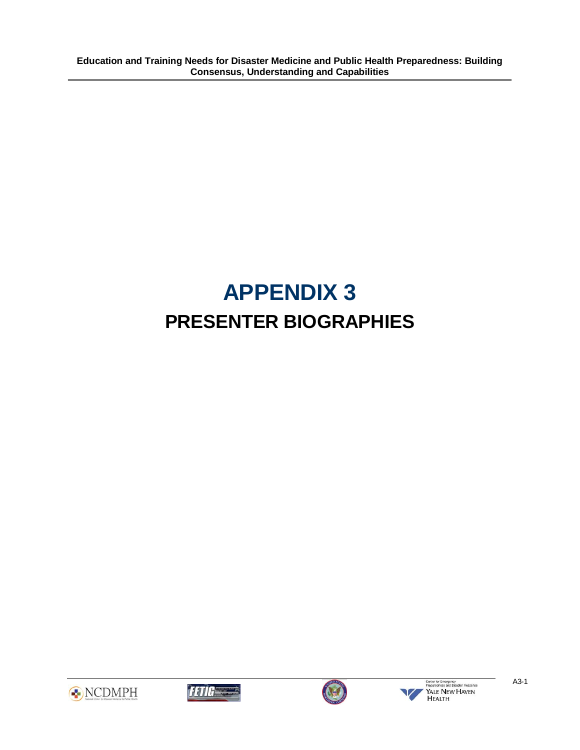# **APPENDIX 3 PRESENTER BIOGRAPHIES**



<span id="page-30-0"></span>Ī





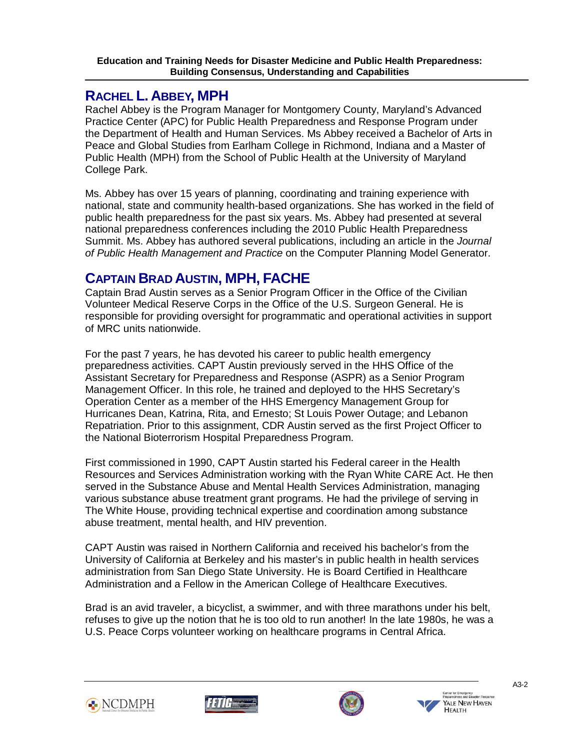# **RACHEL L. ABBEY, MPH**

Ī

Rachel Abbey is the Program Manager for Montgomery County, Maryland's Advanced Practice Center (APC) for Public Health Preparedness and Response Program under the Department of Health and Human Services. Ms Abbey received a Bachelor of Arts in Peace and Global Studies from Earlham College in Richmond, Indiana and a Master of Public Health (MPH) from the School of Public Health at the University of Maryland College Park.

Ms. Abbey has over 15 years of planning, coordinating and training experience with national, state and community health-based organizations. She has worked in the field of public health preparedness for the past six years. Ms. Abbey had presented at several national preparedness conferences including the 2010 Public Health Preparedness Summit. Ms. Abbey has authored several publications, including an article in the *Journal of Public Health Management and Practice* on the Computer Planning Model Generator.

# **CAPTAIN BRAD AUSTIN, MPH, FACHE**

Captain Brad Austin serves as a Senior Program Officer in the Office of the Civilian Volunteer Medical Reserve Corps in the Office of the U.S. Surgeon General. He is responsible for providing oversight for programmatic and operational activities in support of MRC units nationwide.

For the past 7 years, he has devoted his career to public health emergency preparedness activities. CAPT Austin previously served in the HHS Office of the Assistant Secretary for Preparedness and Response (ASPR) as a Senior Program Management Officer. In this role, he trained and deployed to the HHS Secretary's Operation Center as a member of the HHS Emergency Management Group for Hurricanes Dean, Katrina, Rita, and Ernesto; St Louis Power Outage; and Lebanon Repatriation. Prior to this assignment, CDR Austin served as the first Project Officer to the National Bioterrorism Hospital Preparedness Program.

First commissioned in 1990, CAPT Austin started his Federal career in the Health Resources and Services Administration working with the Ryan White CARE Act. He then served in the Substance Abuse and Mental Health Services Administration, managing various substance abuse treatment grant programs. He had the privilege of serving in The White House, providing technical expertise and coordination among substance abuse treatment, mental health, and HIV prevention.

CAPT Austin was raised in Northern California and received his bachelor's from the University of California at Berkeley and his master's in public health in health services administration from San Diego State University. He is Board Certified in Healthcare Administration and a Fellow in the American College of Healthcare Executives.

Brad is an avid traveler, a bicyclist, a swimmer, and with three marathons under his belt, refuses to give up the notion that he is too old to run another! In the late 1980s, he was a U.S. Peace Corps volunteer working on healthcare programs in Central Africa.







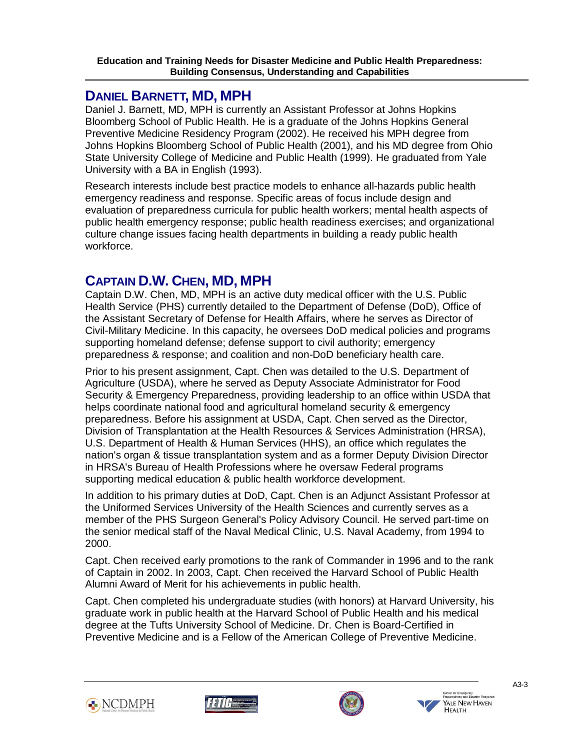# **DANIEL BARNETT, MD, MPH**

Ī

Daniel J. Barnett, MD, MPH is currently an Assistant Professor at Johns Hopkins Bloomberg School of Public Health. He is a graduate of the Johns Hopkins General Preventive Medicine Residency Program (2002). He received his MPH degree from Johns Hopkins Bloomberg School of Public Health (2001), and his MD degree from Ohio State University College of Medicine and Public Health (1999). He graduated from Yale University with a BA in English (1993).

Research interests include best practice models to enhance all-hazards public health emergency readiness and response. Specific areas of focus include design and evaluation of preparedness curricula for public health workers; mental health aspects of public health emergency response; public health readiness exercises; and organizational culture change issues facing health departments in building a ready public health workforce.

# **CAPTAIN D.W. CHEN, MD, MPH**

Captain D.W. Chen, MD, MPH is an active duty medical officer with the U.S. Public Health Service (PHS) currently detailed to the Department of Defense (DoD), Office of the Assistant Secretary of Defense for Health Affairs, where he serves as Director of Civil-Military Medicine. In this capacity, he oversees DoD medical policies and programs supporting homeland defense; defense support to civil authority; emergency preparedness & response; and coalition and non-DoD beneficiary health care.

Prior to his present assignment, Capt. Chen was detailed to the U.S. Department of Agriculture (USDA), where he served as Deputy Associate Administrator for Food Security & Emergency Preparedness, providing leadership to an office within USDA that helps coordinate national food and agricultural homeland security & emergency preparedness. Before his assignment at USDA, Capt. Chen served as the Director, Division of Transplantation at the Health Resources & Services Administration (HRSA), U.S. Department of Health & Human Services (HHS), an office which regulates the nation's organ & tissue transplantation system and as a former Deputy Division Director in HRSA's Bureau of Health Professions where he oversaw Federal programs supporting medical education & public health workforce development.

In addition to his primary duties at DoD, Capt. Chen is an Adjunct Assistant Professor at the Uniformed Services University of the Health Sciences and currently serves as a member of the PHS Surgeon General's Policy Advisory Council. He served part-time on the senior medical staff of the Naval Medical Clinic, U.S. Naval Academy, from 1994 to 2000.

Capt. Chen received early promotions to the rank of Commander in 1996 and to the rank of Captain in 2002. In 2003, Capt. Chen received the Harvard School of Public Health Alumni Award of Merit for his achievements in public health.

Capt. Chen completed his undergraduate studies (with honors) at Harvard University, his graduate work in public health at the Harvard School of Public Health and his medical degree at the Tufts University School of Medicine. Dr. Chen is Board-Certified in Preventive Medicine and is a Fellow of the American College of Preventive Medicine.







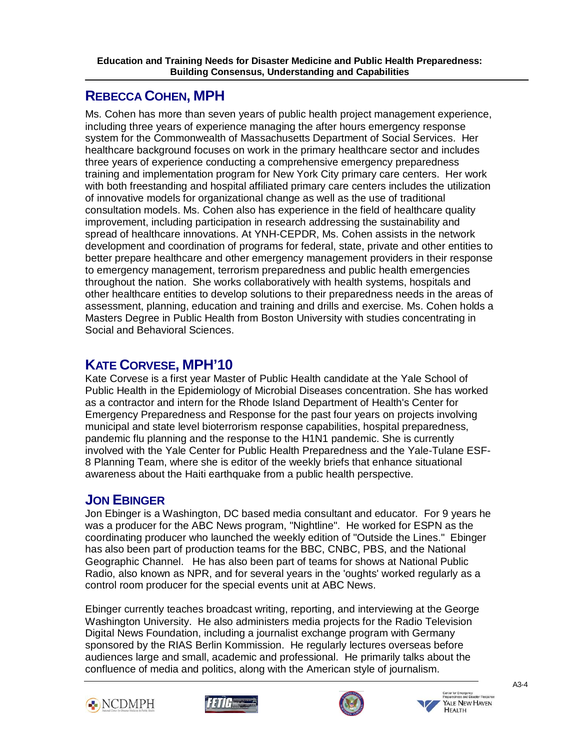#### Ī **REBECCA COHEN, MPH**

Ms. Cohen has more than seven years of public health project management experience, including three years of experience managing the after hours emergency response system for the Commonwealth of Massachusetts Department of Social Services. Her healthcare background focuses on work in the primary healthcare sector and includes three years of experience conducting a comprehensive emergency preparedness training and implementation program for New York City primary care centers. Her work with both freestanding and hospital affiliated primary care centers includes the utilization of innovative models for organizational change as well as the use of traditional consultation models. Ms. Cohen also has experience in the field of healthcare quality improvement, including participation in research addressing the sustainability and spread of healthcare innovations. At YNH-CEPDR, Ms. Cohen assists in the network development and coordination of programs for federal, state, private and other entities to better prepare healthcare and other emergency management providers in their response to emergency management, terrorism preparedness and public health emergencies throughout the nation. She works collaboratively with health systems, hospitals and other healthcare entities to develop solutions to their preparedness needs in the areas of assessment, planning, education and training and drills and exercise. Ms. Cohen holds a Masters Degree in Public Health from Boston University with studies concentrating in Social and Behavioral Sciences.

# **KATE CORVESE, MPH'10**

Kate Corvese is a first year Master of Public Health candidate at the Yale School of Public Health in the Epidemiology of Microbial Diseases concentration. She has worked as a contractor and intern for the Rhode Island Department of Health's Center for Emergency Preparedness and Response for the past four years on projects involving municipal and state level bioterrorism response capabilities, hospital preparedness, pandemic flu planning and the response to the H1N1 pandemic. She is currently involved with the Yale Center for Public Health Preparedness and the Yale-Tulane ESF-8 Planning Team, where she is editor of the weekly briefs that enhance situational awareness about the Haiti earthquake from a public health perspective.

# **JON EBINGER**

Jon Ebinger is a Washington, DC based media consultant and educator. For 9 years he was a producer for the ABC News program, "Nightline". He worked for ESPN as the coordinating producer who launched the weekly edition of "Outside the Lines." Ebinger has also been part of production teams for the BBC, CNBC, PBS, and the National Geographic Channel. He has also been part of teams for shows at National Public Radio, also known as NPR, and for several years in the 'oughts' worked regularly as a control room producer for the special events unit at ABC News.

Ebinger currently teaches broadcast writing, reporting, and interviewing at the George Washington University. He also administers media projects for the Radio Television Digital News Foundation, including a journalist exchange program with Germany sponsored by the RIAS Berlin Kommission. He regularly lectures overseas before audiences large and small, academic and professional. He primarily talks about the confluence of media and politics, along with the American style of journalism.







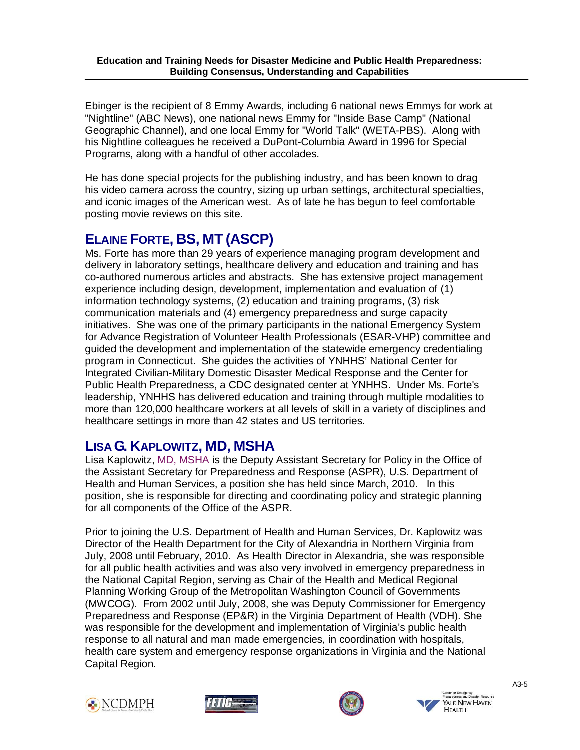Ebinger is the recipient of 8 Emmy Awards, including 6 national news Emmys for work at "Nightline" (ABC News), one national news Emmy for "Inside Base Camp" (National Geographic Channel), and one local Emmy for "World Talk" (WETA-PBS). Along with his Nightline colleagues he received a DuPont-Columbia Award in 1996 for Special Programs, along with a handful of other accolades.

He has done special projects for the publishing industry, and has been known to drag his video camera across the country, sizing up urban settings, architectural specialties, and iconic images of the American west. As of late he has begun to feel comfortable posting movie reviews on this site.

# **ELAINE FORTE, BS, MT (ASCP)**

Ī

Ms. Forte has more than 29 years of experience managing program development and delivery in laboratory settings, healthcare delivery and education and training and has co-authored numerous articles and abstracts. She has extensive project management experience including design, development, implementation and evaluation of (1) information technology systems, (2) education and training programs, (3) risk communication materials and (4) emergency preparedness and surge capacity initiatives. She was one of the primary participants in the national Emergency System for Advance Registration of Volunteer Health Professionals (ESAR-VHP) committee and guided the development and implementation of the statewide emergency credentialing program in Connecticut. She guides the activities of YNHHS' National Center for Integrated Civilian-Military Domestic Disaster Medical Response and the Center for Public Health Preparedness, a CDC designated center at YNHHS. Under Ms. Forte's leadership, YNHHS has delivered education and training through multiple modalities to more than 120,000 healthcare workers at all levels of skill in a variety of disciplines and healthcare settings in more than 42 states and US territories.

# **LISA G. KAPLOWITZ, MD, MSHA**

Lisa Kaplowitz, MD, MSHA is the Deputy Assistant Secretary for Policy in the Office of the Assistant Secretary for Preparedness and Response (ASPR), U.S. Department of Health and Human Services, a position she has held since March, 2010. In this position, she is responsible for directing and coordinating policy and strategic planning for all components of the Office of the ASPR.

Prior to joining the U.S. Department of Health and Human Services, Dr. Kaplowitz was Director of the Health Department for the City of Alexandria in Northern Virginia from July, 2008 until February, 2010. As Health Director in Alexandria, she was responsible for all public health activities and was also very involved in emergency preparedness in the National Capital Region, serving as Chair of the Health and Medical Regional Planning Working Group of the Metropolitan Washington Council of Governments (MWCOG). From 2002 until July, 2008, she was Deputy Commissioner for Emergency Preparedness and Response (EP&R) in the Virginia Department of Health (VDH). She was responsible for the development and implementation of Virginia's public health response to all natural and man made emergencies, in coordination with hospitals, health care system and emergency response organizations in Virginia and the National Capital Region.







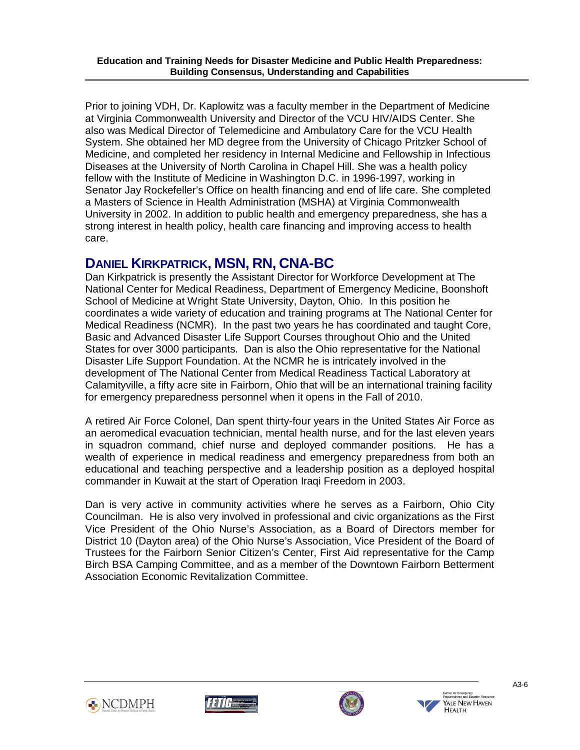Prior to joining VDH, Dr. Kaplowitz was a faculty member in the Department of Medicine at Virginia Commonwealth University and Director of the VCU HIV/AIDS Center. She also was Medical Director of Telemedicine and Ambulatory Care for the VCU Health System. She obtained her MD degree from the University of Chicago Pritzker School of Medicine, and completed her residency in Internal Medicine and Fellowship in Infectious Diseases at the University of North Carolina in Chapel Hill. She was a health policy fellow with the Institute of Medicine in Washington D.C. in 1996-1997, working in Senator Jay Rockefeller's Office on health financing and end of life care. She completed a Masters of Science in Health Administration (MSHA) at Virginia Commonwealth University in 2002. In addition to public health and emergency preparedness, she has a strong interest in health policy, health care financing and improving access to health care.

# **DANIEL KIRKPATRICK, MSN, RN, CNA-BC**

Dan Kirkpatrick is presently the Assistant Director for Workforce Development at The National Center for Medical Readiness, Department of Emergency Medicine, Boonshoft School of Medicine at Wright State University, Dayton, Ohio. In this position he coordinates a wide variety of education and training programs at The National Center for Medical Readiness (NCMR). In the past two years he has coordinated and taught Core, Basic and Advanced Disaster Life Support Courses throughout Ohio and the United States for over 3000 participants. Dan is also the Ohio representative for the National Disaster Life Support Foundation. At the NCMR he is intricately involved in the development of The National Center from Medical Readiness Tactical Laboratory at Calamityville, a fifty acre site in Fairborn, Ohio that will be an international training facility for emergency preparedness personnel when it opens in the Fall of 2010.

A retired Air Force Colonel, Dan spent thirty-four years in the United States Air Force as an aeromedical evacuation technician, mental health nurse, and for the last eleven years in squadron command, chief nurse and deployed commander positions. He has a wealth of experience in medical readiness and emergency preparedness from both an educational and teaching perspective and a leadership position as a deployed hospital commander in Kuwait at the start of Operation Iraqi Freedom in 2003.

Dan is very active in community activities where he serves as a Fairborn, Ohio City Councilman. He is also very involved in professional and civic organizations as the First Vice President of the Ohio Nurse's Association, as a Board of Directors member for District 10 (Dayton area) of the Ohio Nurse's Association, Vice President of the Board of Trustees for the Fairborn Senior Citizen's Center, First Aid representative for the Camp Birch BSA Camping Committee, and as a member of the Downtown Fairborn Betterment Association Economic Revitalization Committee.



Ī





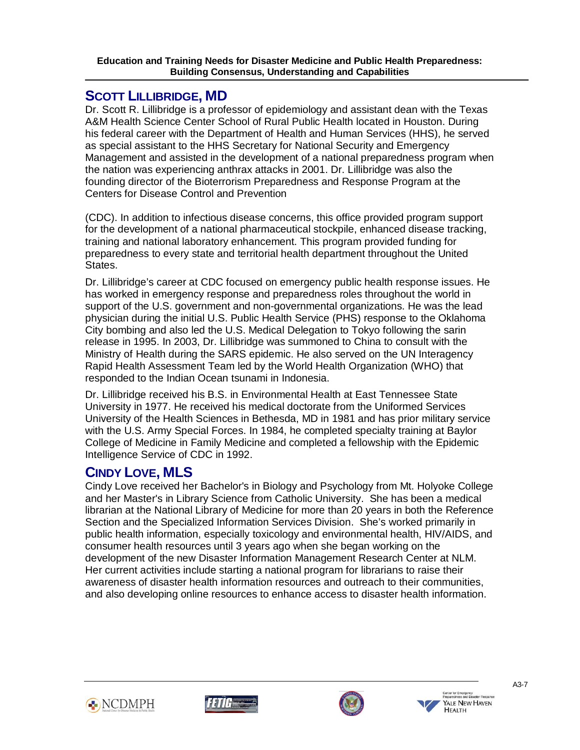# **SCOTT LILLIBRIDGE, MD**

Ī

Dr. Scott R. Lillibridge is a professor of epidemiology and assistant dean with the Texas A&M Health Science Center School of Rural Public Health located in Houston. During his federal career with the Department of Health and Human Services (HHS), he served as special assistant to the HHS Secretary for National Security and Emergency Management and assisted in the development of a national preparedness program when the nation was experiencing anthrax attacks in 2001. Dr. Lillibridge was also the founding director of the Bioterrorism Preparedness and Response Program at the Centers for Disease Control and Prevention

(CDC). In addition to infectious disease concerns, this office provided program support for the development of a national pharmaceutical stockpile, enhanced disease tracking, training and national laboratory enhancement. This program provided funding for preparedness to every state and territorial health department throughout the United States.

Dr. Lillibridge's career at CDC focused on emergency public health response issues. He has worked in emergency response and preparedness roles throughout the world in support of the U.S. government and non-governmental organizations. He was the lead physician during the initial U.S. Public Health Service (PHS) response to the Oklahoma City bombing and also led the U.S. Medical Delegation to Tokyo following the sarin release in 1995. In 2003, Dr. Lillibridge was summoned to China to consult with the Ministry of Health during the SARS epidemic. He also served on the UN Interagency Rapid Health Assessment Team led by the World Health Organization (WHO) that responded to the Indian Ocean tsunami in Indonesia.

Dr. Lillibridge received his B.S. in Environmental Health at East Tennessee State University in 1977. He received his medical doctorate from the Uniformed Services University of the Health Sciences in Bethesda, MD in 1981 and has prior military service with the U.S. Army Special Forces. In 1984, he completed specialty training at Baylor College of Medicine in Family Medicine and completed a fellowship with the Epidemic Intelligence Service of CDC in 1992.

# **CINDY LOVE, MLS**

Cindy Love received her Bachelor's in Biology and Psychology from Mt. Holyoke College and her Master's in Library Science from Catholic University. She has been a medical librarian at the National Library of Medicine for more than 20 years in both the Reference Section and the Specialized Information Services Division. She's worked primarily in public health information, especially toxicology and environmental health, HIV/AIDS, and consumer health resources until 3 years ago when she began working on the development of the new Disaster Information Management Research Center at NLM. Her current activities include starting a national program for librarians to raise their awareness of disaster health information resources and outreach to their communities, and also developing online resources to enhance access to disaster health information.







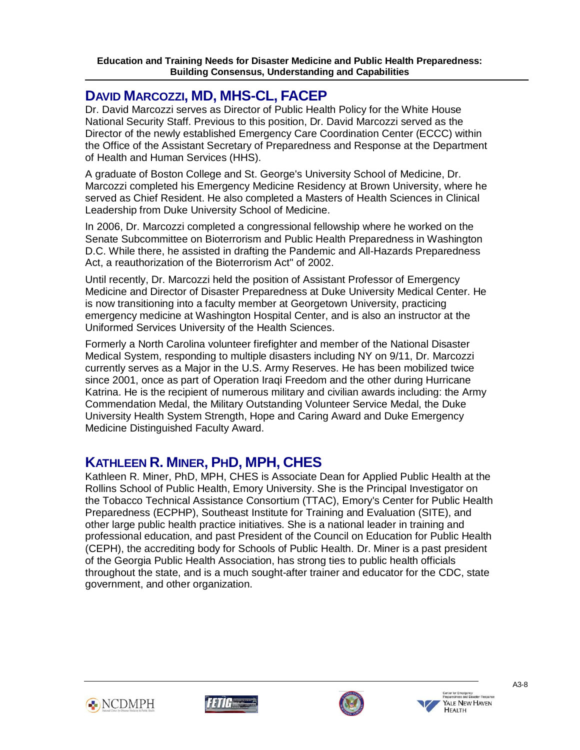#### Ī **DAVID MARCOZZI, MD, MHS-CL, FACEP**

Dr. David Marcozzi serves as Director of Public Health Policy for the White House National Security Staff. Previous to this position, Dr. David Marcozzi served as the Director of the newly established Emergency Care Coordination Center (ECCC) within the Office of the Assistant Secretary of Preparedness and Response at the Department of Health and Human Services (HHS).

A graduate of Boston College and St. George's University School of Medicine, Dr. Marcozzi completed his Emergency Medicine Residency at Brown University, where he served as Chief Resident. He also completed a Masters of Health Sciences in Clinical Leadership from Duke University School of Medicine.

In 2006, Dr. Marcozzi completed a congressional fellowship where he worked on the Senate Subcommittee on Bioterrorism and Public Health Preparedness in Washington D.C. While there, he assisted in drafting the Pandemic and All-Hazards Preparedness Act, a reauthorization of the Bioterrorism Act" of 2002.

Until recently, Dr. Marcozzi held the position of Assistant Professor of Emergency Medicine and Director of Disaster Preparedness at Duke University Medical Center. He is now transitioning into a faculty member at Georgetown University, practicing emergency medicine at Washington Hospital Center, and is also an instructor at the Uniformed Services University of the Health Sciences.

Formerly a North Carolina volunteer firefighter and member of the National Disaster Medical System, responding to multiple disasters including NY on 9/11, Dr. Marcozzi currently serves as a Major in the U.S. Army Reserves. He has been mobilized twice since 2001, once as part of Operation Iraqi Freedom and the other during Hurricane Katrina. He is the recipient of numerous military and civilian awards including: the Army Commendation Medal, the Military Outstanding Volunteer Service Medal, the Duke University Health System Strength, Hope and Caring Award and Duke Emergency Medicine Distinguished Faculty Award.

# **KATHLEEN R. MINER, PHD, MPH, CHES**

Kathleen R. Miner, PhD, MPH, CHES is Associate Dean for Applied Public Health at the Rollins School of Public Health, Emory University. She is the Principal Investigator on the Tobacco Technical Assistance Consortium (TTAC), Emory's Center for Public Health Preparedness (ECPHP), Southeast Institute for Training and Evaluation (SITE), and other large public health practice initiatives. She is a national leader in training and professional education, and past President of the Council on Education for Public Health (CEPH), the accrediting body for Schools of Public Health. Dr. Miner is a past president of the Georgia Public Health Association, has strong ties to public health officials throughout the state, and is a much sought-after trainer and educator for the CDC, state government, and other organization.







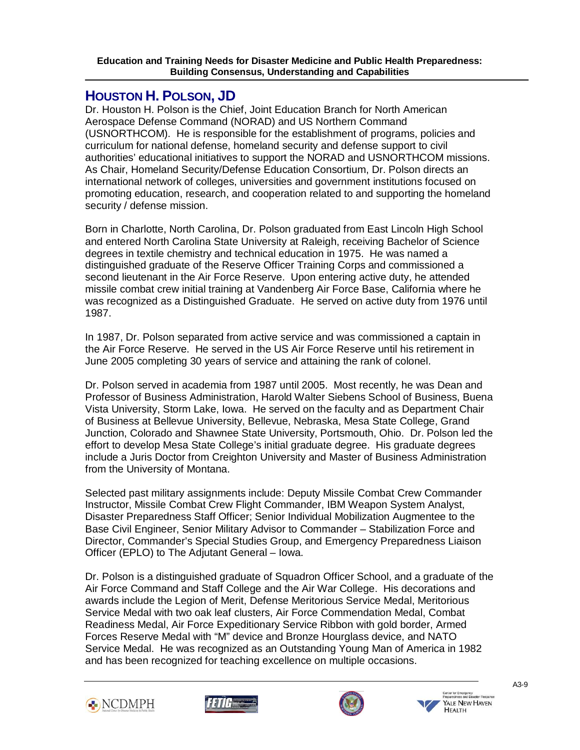# **HOUSTON H. POLSON, JD**

Ī

Dr. Houston H. Polson is the Chief, Joint Education Branch for North American Aerospace Defense Command (NORAD) and US Northern Command (USNORTHCOM). He is responsible for the establishment of programs, policies and curriculum for national defense, homeland security and defense support to civil authorities' educational initiatives to support the NORAD and USNORTHCOM missions. As Chair, Homeland Security/Defense Education Consortium, Dr. Polson directs an international network of colleges, universities and government institutions focused on promoting education, research, and cooperation related to and supporting the homeland security / defense mission.

Born in Charlotte, North Carolina, Dr. Polson graduated from East Lincoln High School and entered North Carolina State University at Raleigh, receiving Bachelor of Science degrees in textile chemistry and technical education in 1975. He was named a distinguished graduate of the Reserve Officer Training Corps and commissioned a second lieutenant in the Air Force Reserve. Upon entering active duty, he attended missile combat crew initial training at Vandenberg Air Force Base, California where he was recognized as a Distinguished Graduate. He served on active duty from 1976 until 1987.

In 1987, Dr. Polson separated from active service and was commissioned a captain in the Air Force Reserve. He served in the US Air Force Reserve until his retirement in June 2005 completing 30 years of service and attaining the rank of colonel.

Dr. Polson served in academia from 1987 until 2005. Most recently, he was Dean and Professor of Business Administration, Harold Walter Siebens School of Business, Buena Vista University, Storm Lake, Iowa. He served on the faculty and as Department Chair of Business at Bellevue University, Bellevue, Nebraska, Mesa State College, Grand Junction, Colorado and Shawnee State University, Portsmouth, Ohio. Dr. Polson led the effort to develop Mesa State College's initial graduate degree. His graduate degrees include a Juris Doctor from Creighton University and Master of Business Administration from the University of Montana.

Selected past military assignments include: Deputy Missile Combat Crew Commander Instructor, Missile Combat Crew Flight Commander, IBM Weapon System Analyst, Disaster Preparedness Staff Officer; Senior Individual Mobilization Augmentee to the Base Civil Engineer, Senior Military Advisor to Commander – Stabilization Force and Director, Commander's Special Studies Group, and Emergency Preparedness Liaison Officer (EPLO) to The Adjutant General – Iowa.

Dr. Polson is a distinguished graduate of Squadron Officer School, and a graduate of the Air Force Command and Staff College and the Air War College. His decorations and awards include the Legion of Merit, Defense Meritorious Service Medal, Meritorious Service Medal with two oak leaf clusters, Air Force Commendation Medal, Combat Readiness Medal, Air Force Expeditionary Service Ribbon with gold border, Armed Forces Reserve Medal with "M" device and Bronze Hourglass device, and NATO Service Medal. He was recognized as an Outstanding Young Man of America in 1982 and has been recognized for teaching excellence on multiple occasions.







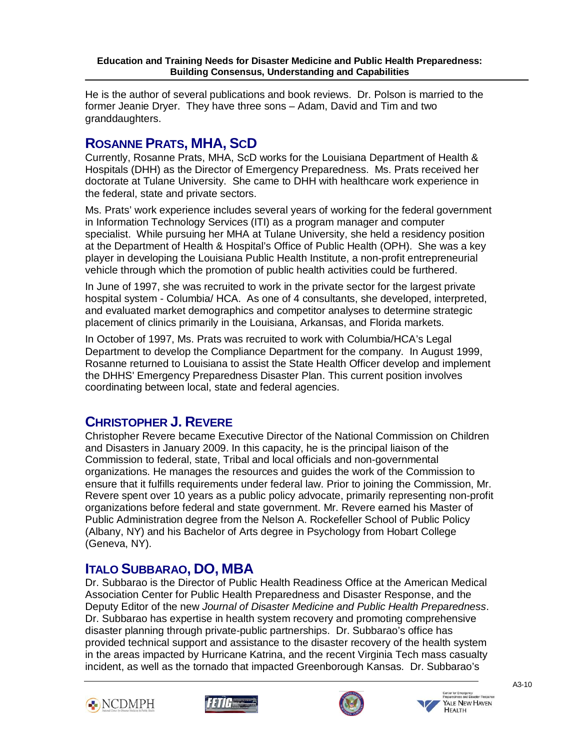He is the author of several publications and book reviews. Dr. Polson is married to the former Jeanie Dryer. They have three sons – Adam, David and Tim and two granddaughters.

# **ROSANNE PRATS, MHA, SCD**

Ī

Currently, Rosanne Prats, MHA, ScD works for the Louisiana Department of Health & Hospitals (DHH) as the Director of Emergency Preparedness. Ms. Prats received her doctorate at Tulane University. She came to DHH with healthcare work experience in the federal, state and private sectors.

Ms. Prats' work experience includes several years of working for the federal government in Information Technology Services (ITI) as a program manager and computer specialist. While pursuing her MHA at Tulane University, she held a residency position at the Department of Health & Hospital's Office of Public Health (OPH). She was a key player in developing the Louisiana Public Health Institute, a non-profit entrepreneurial vehicle through which the promotion of public health activities could be furthered.

In June of 1997, she was recruited to work in the private sector for the largest private hospital system - Columbia/ HCA. As one of 4 consultants, she developed, interpreted, and evaluated market demographics and competitor analyses to determine strategic placement of clinics primarily in the Louisiana, Arkansas, and Florida markets.

In October of 1997, Ms. Prats was recruited to work with Columbia/HCA's Legal Department to develop the Compliance Department for the company. In August 1999, Rosanne returned to Louisiana to assist the State Health Officer develop and implement the DHHS' Emergency Preparedness Disaster Plan. This current position involves coordinating between local, state and federal agencies.

# **CHRISTOPHER J. REVERE**

Christopher Revere became Executive Director of the National Commission on Children and Disasters in January 2009. In this capacity, he is the principal liaison of the Commission to federal, state, Tribal and local officials and non-governmental organizations. He manages the resources and guides the work of the Commission to ensure that it fulfills requirements under federal law. Prior to joining the Commission, Mr. Revere spent over 10 years as a public policy advocate, primarily representing non-profit organizations before federal and state government. Mr. Revere earned his Master of Public Administration degree from the Nelson A. Rockefeller School of Public Policy (Albany, NY) and his Bachelor of Arts degree in Psychology from Hobart College (Geneva, NY).

# **ITALO SUBBARAO, DO, MBA**

Dr. Subbarao is the Director of Public Health Readiness Office at the American Medical Association Center for Public Health Preparedness and Disaster Response, and the Deputy Editor of the new *Journal of Disaster Medicine and Public Health Preparedness*. Dr. Subbarao has expertise in health system recovery and promoting comprehensive disaster planning through private-public partnerships. Dr. Subbarao's office has provided technical support and assistance to the disaster recovery of the health system in the areas impacted by Hurricane Katrina, and the recent Virginia Tech mass casualty incident, as well as the tornado that impacted Greenborough Kansas. Dr. Subbarao's







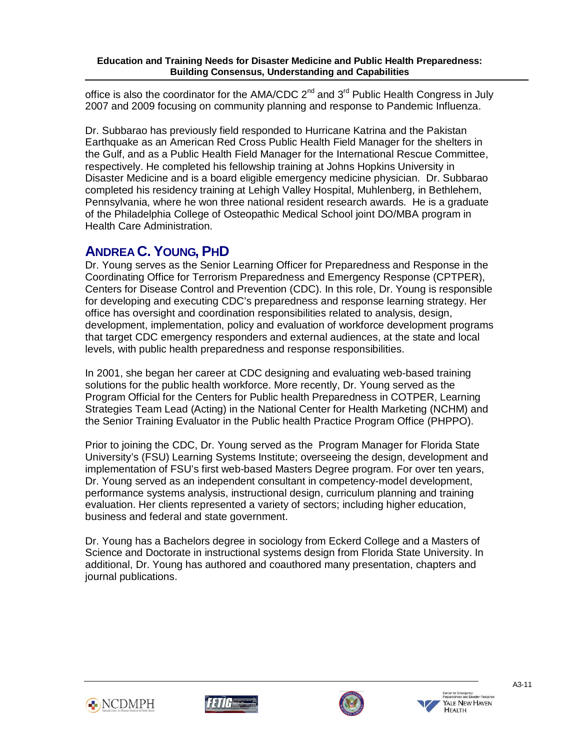Ī office is also the coordinator for the AMA/CDC  $2^{nd}$  and  $3^{rd}$  Public Health Congress in July 2007 and 2009 focusing on community planning and response to Pandemic Influenza.

Dr. Subbarao has previously field responded to Hurricane Katrina and the Pakistan Earthquake as an American Red Cross Public Health Field Manager for the shelters in the Gulf, and as a Public Health Field Manager for the International Rescue Committee, respectively. He completed his fellowship training at Johns Hopkins University in Disaster Medicine and is a board eligible emergency medicine physician. Dr. Subbarao completed his residency training at Lehigh Valley Hospital, Muhlenberg, in Bethlehem, Pennsylvania, where he won three national resident research awards. He is a graduate of the Philadelphia College of Osteopathic Medical School joint DO/MBA program in Health Care Administration.

# **ANDREA C. YOUNG, PHD**

Dr. Young serves as the Senior Learning Officer for Preparedness and Response in the Coordinating Office for Terrorism Preparedness and Emergency Response (CPTPER), Centers for Disease Control and Prevention (CDC). In this role, Dr. Young is responsible for developing and executing CDC's preparedness and response learning strategy. Her office has oversight and coordination responsibilities related to analysis, design, development, implementation, policy and evaluation of workforce development programs that target CDC emergency responders and external audiences, at the state and local levels, with public health preparedness and response responsibilities.

In 2001, she began her career at CDC designing and evaluating web-based training solutions for the public health workforce. More recently, Dr. Young served as the Program Official for the Centers for Public health Preparedness in COTPER, Learning Strategies Team Lead (Acting) in the National Center for Health Marketing (NCHM) and the Senior Training Evaluator in the Public health Practice Program Office (PHPPO).

Prior to joining the CDC, Dr. Young served as the Program Manager for Florida State University's (FSU) Learning Systems Institute; overseeing the design, development and implementation of FSU's first web-based Masters Degree program. For over ten years, Dr. Young served as an independent consultant in competency-model development, performance systems analysis, instructional design, curriculum planning and training evaluation. Her clients represented a variety of sectors; including higher education, business and federal and state government.

Dr. Young has a Bachelors degree in sociology from Eckerd College and a Masters of Science and Doctorate in instructional systems design from Florida State University. In additional, Dr. Young has authored and coauthored many presentation, chapters and journal publications.







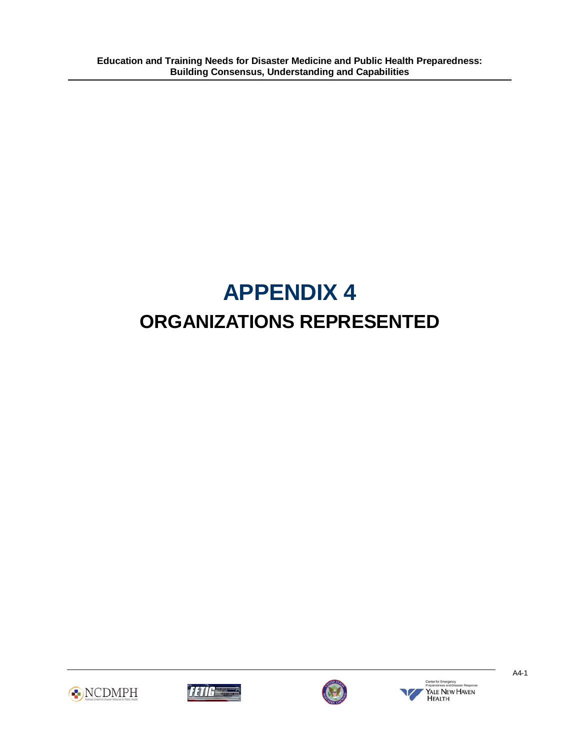# **APPENDIX 4 ORGANIZATIONS REPRESENTED**







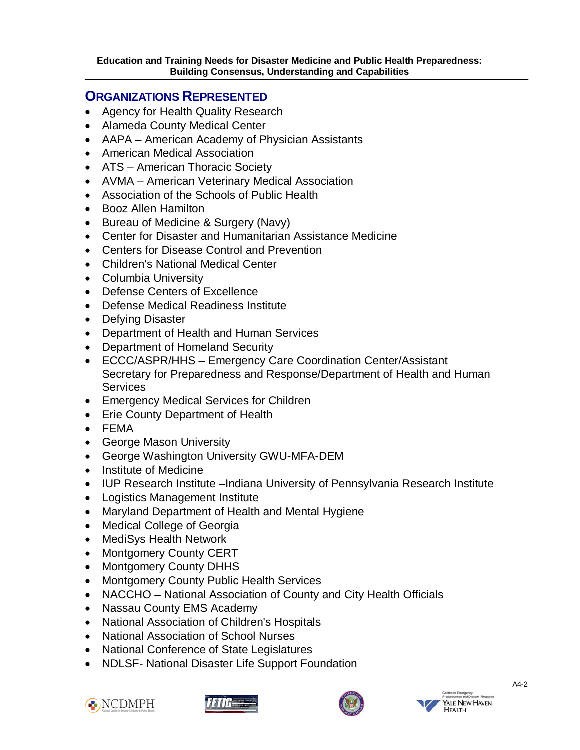# **ORGANIZATIONS REPRESENTED**

- Agency for Health Quality Research
- Alameda County Medical Center
- AAPA American Academy of Physician Assistants
- American Medical Association
- ATS American Thoracic Society
- AVMA American Veterinary Medical Association
- Association of the Schools of Public Health
- Booz Allen Hamilton

- Bureau of Medicine & Surgery (Navy)
- Center for Disaster and Humanitarian Assistance Medicine
- Centers for Disease Control and Prevention
- Children's National Medical Center
- Columbia University
- Defense Centers of Excellence
- Defense Medical Readiness Institute
- Defying Disaster
- Department of Health and Human Services
- Department of Homeland Security
- ECCC/ASPR/HHS Emergency Care Coordination Center/Assistant Secretary for Preparedness and Response/Department of Health and Human **Services**
- Emergency Medical Services for Children
- Erie County Department of Health
- FEMA
- George Mason University
- George Washington University GWU-MFA-DEM
- Institute of Medicine
- IUP Research Institute –Indiana University of Pennsylvania Research Institute
- Logistics Management Institute
- Maryland Department of Health and Mental Hygiene
- Medical College of Georgia
- MediSys Health Network
- Montgomery County CERT
- Montgomery County DHHS
- Montgomery County Public Health Services
- NACCHO National Association of County and City Health Officials
- Nassau County EMS Academy
- National Association of Children's Hospitals
- National Association of School Nurses
- National Conference of State Legislatures
- NDLSF- National Disaster Life Support Foundation







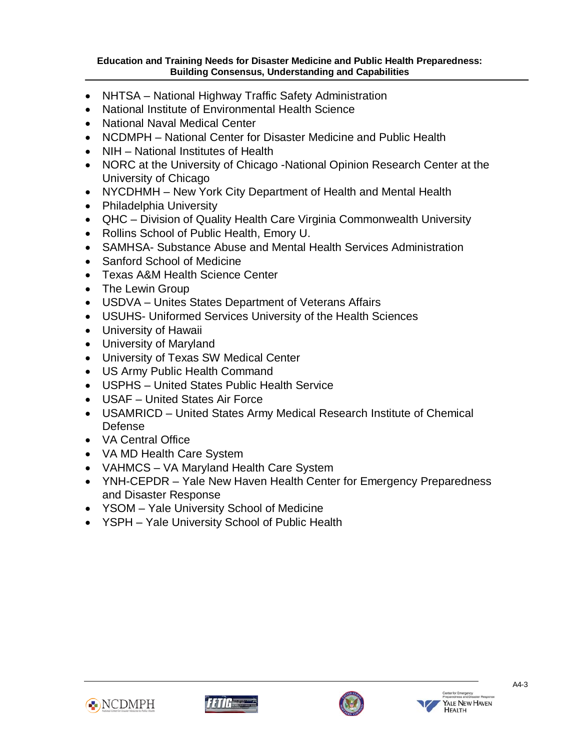- NHTSA National Highway Traffic Safety Administration
- National Institute of Environmental Health Science
- National Naval Medical Center
- NCDMPH National Center for Disaster Medicine and Public Health
- NIH National Institutes of Health
- NORC at the University of Chicago -National Opinion Research Center at the University of Chicago
- NYCDHMH New York City Department of Health and Mental Health
- Philadelphia University

- QHC Division of Quality Health Care Virginia Commonwealth University
- Rollins School of Public Health, Emory U.
- SAMHSA- Substance Abuse and Mental Health Services Administration
- Sanford School of Medicine
- Texas A&M Health Science Center
- The Lewin Group
- USDVA Unites States Department of Veterans Affairs
- USUHS- Uniformed Services University of the Health Sciences
- University of Hawaii
- University of Maryland
- University of Texas SW Medical Center
- US Army Public Health Command
- USPHS United States Public Health Service
- USAF United States Air Force
- USAMRICD United States Army Medical Research Institute of Chemical Defense
- VA Central Office
- VA MD Health Care System
- VAHMCS VA Maryland Health Care System
- YNH-CEPDR Yale New Haven Health Center for Emergency Preparedness and Disaster Response
- YSOM Yale University School of Medicine
- YSPH Yale University School of Public Health







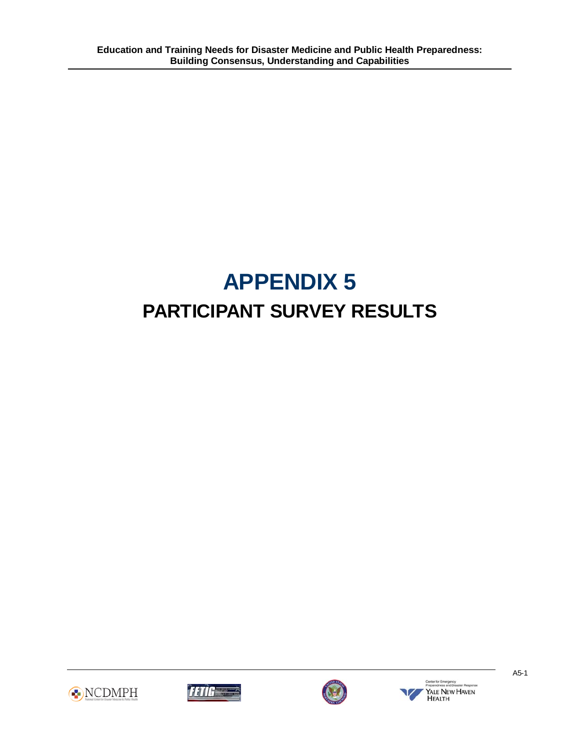# **APPENDIX 5 PARTICIPANT SURVEY RESULTS**







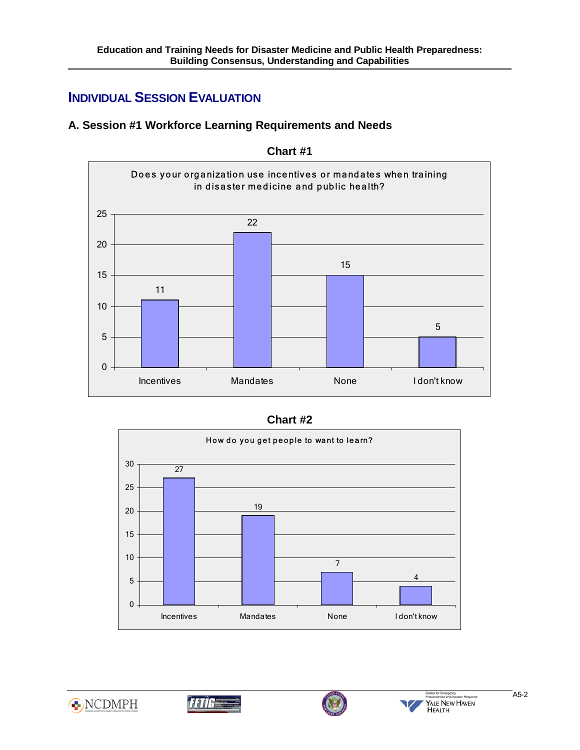# **INDIVIDUAL SESSION EVALUATION**

Ī

# **A. Session #1 Workforce Learning Requirements and Needs**



**Chart #1** 









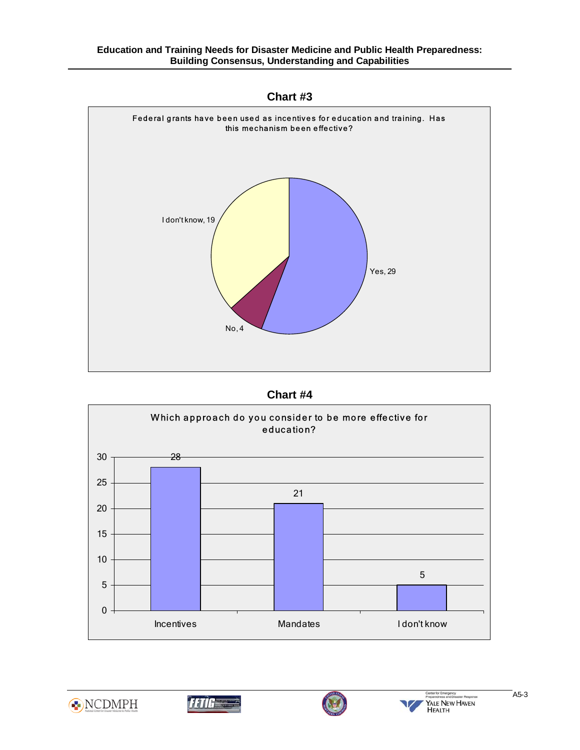**Chart #3** 



**Chart #4** 









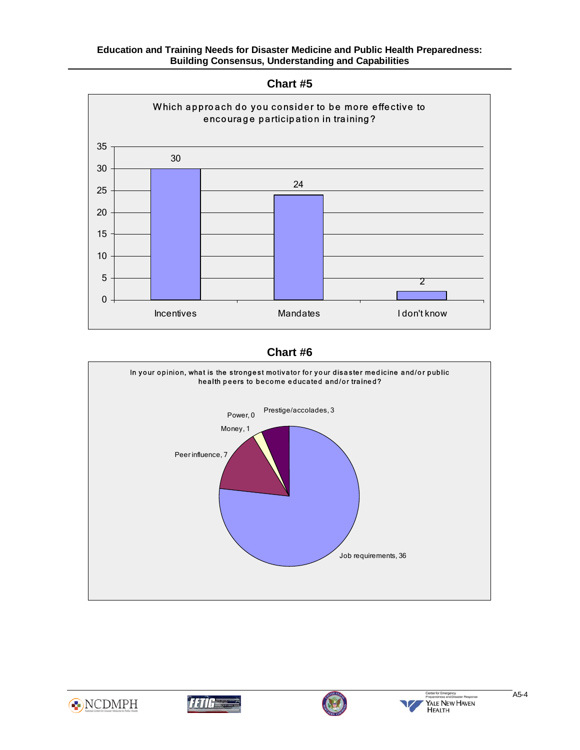

## **Chart #6**









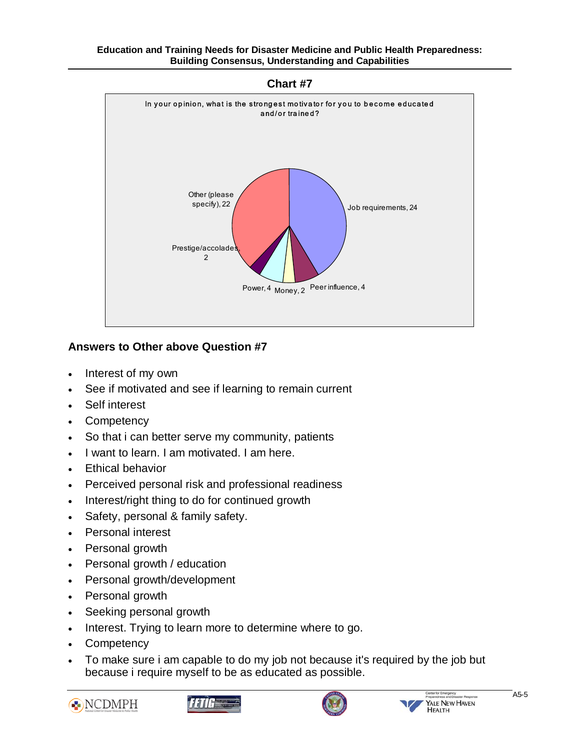**Chart #7** 



# **Answers to Other above Question #7**

- Interest of my own
- See if motivated and see if learning to remain current
- Self interest

- **Competency**
- So that i can better serve my community, patients
- I want to learn. I am motivated. I am here.
- **Ethical behavior**
- Perceived personal risk and professional readiness
- Interest/right thing to do for continued growth
- Safety, personal & family safety.
- Personal interest
- Personal growth
- Personal growth / education
- Personal growth/development
- Personal growth
- Seeking personal growth
- Interest. Trying to learn more to determine where to go.
- **Competency**
- To make sure i am capable to do my job not because it's required by the job but because i require myself to be as educated as possible.







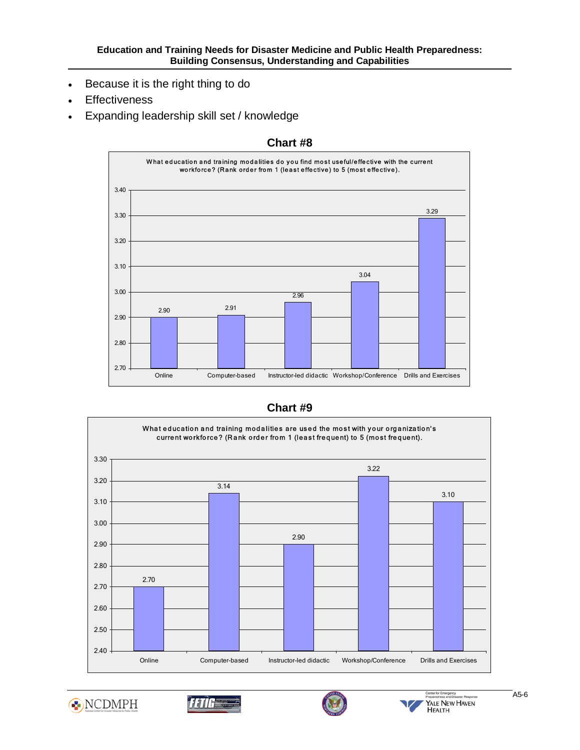- Because it is the right thing to do
- **Effectiveness**

Ī

• Expanding leadership skill set / knowledge



#### **Chart #8**

## **Chart #9**











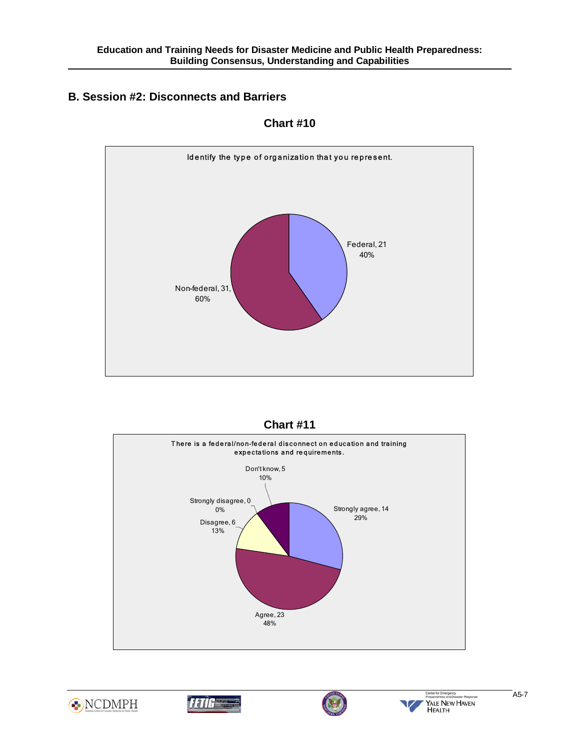# **B. Session #2: Disconnects and Barriers**

Ī



**Chart #10** 









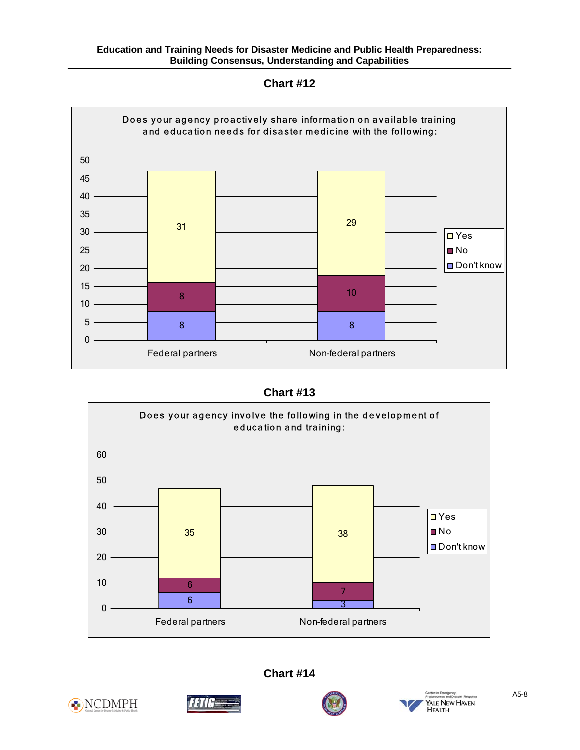**Chart #12** 



**Chart #13** 



**Chart #14** 





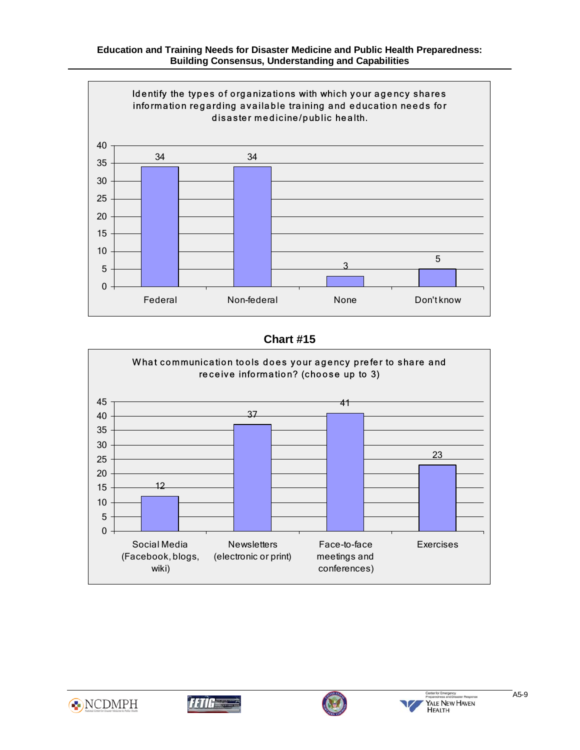

# **Chart #15**









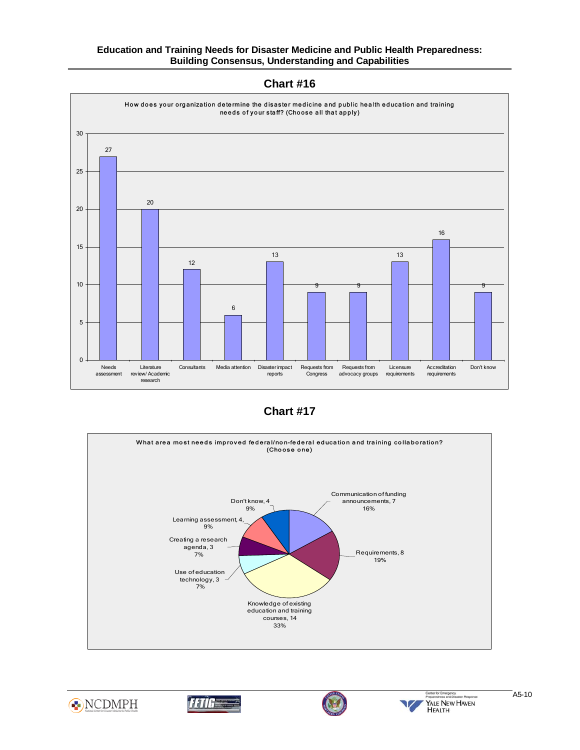

**Chart #16** 

**Chart #17** 









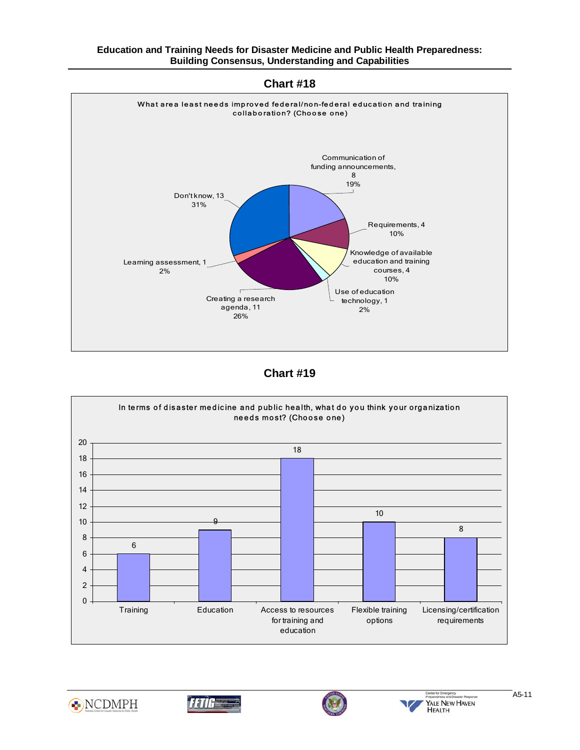**Chart #18** 



## **Chart #19**









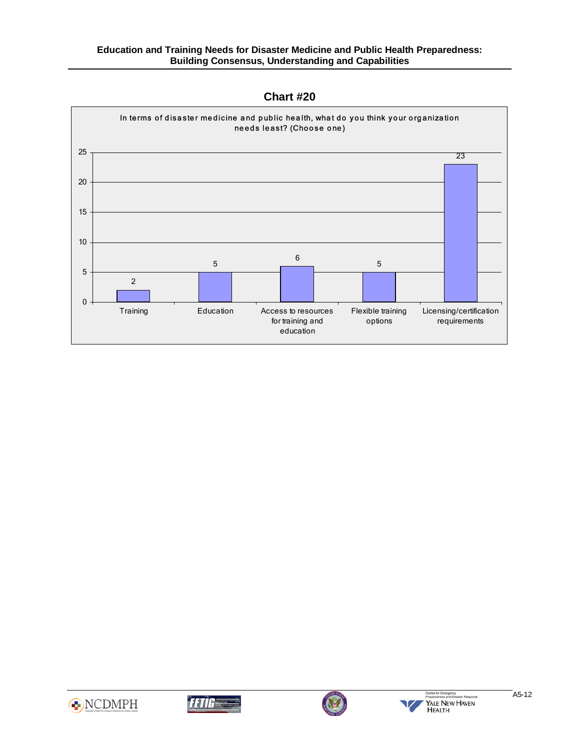

**Chart #20** 







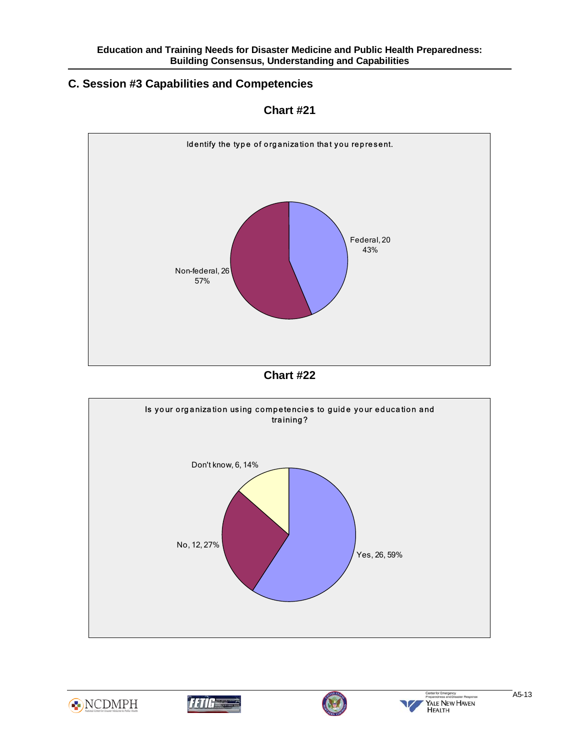#### Ī **C. Session #3 Capabilities and Competencies**



**Chart #21** 











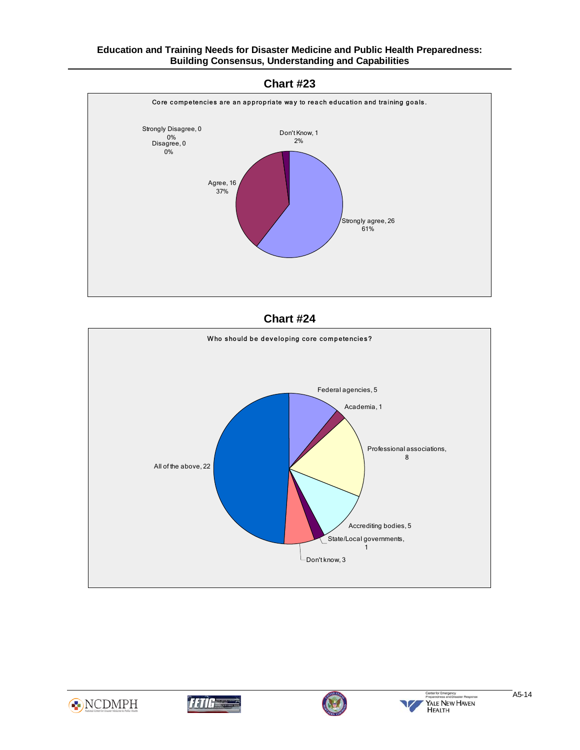



**Chart #24** 









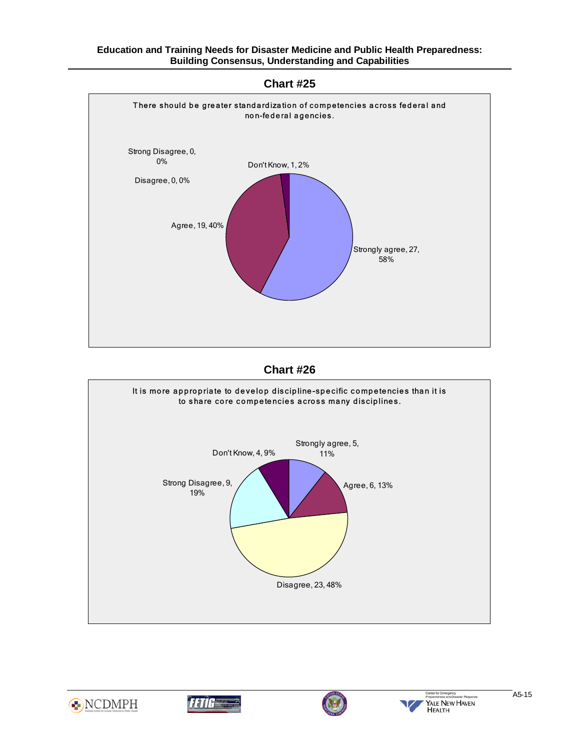













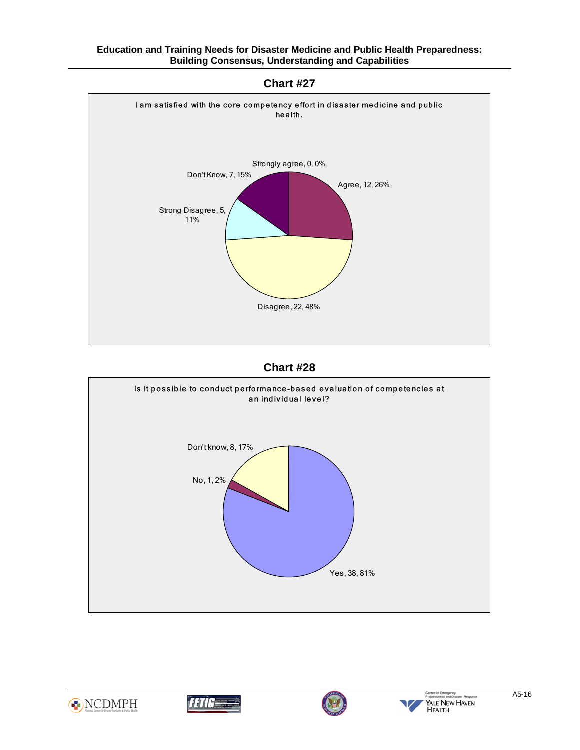



## **Chart #28**









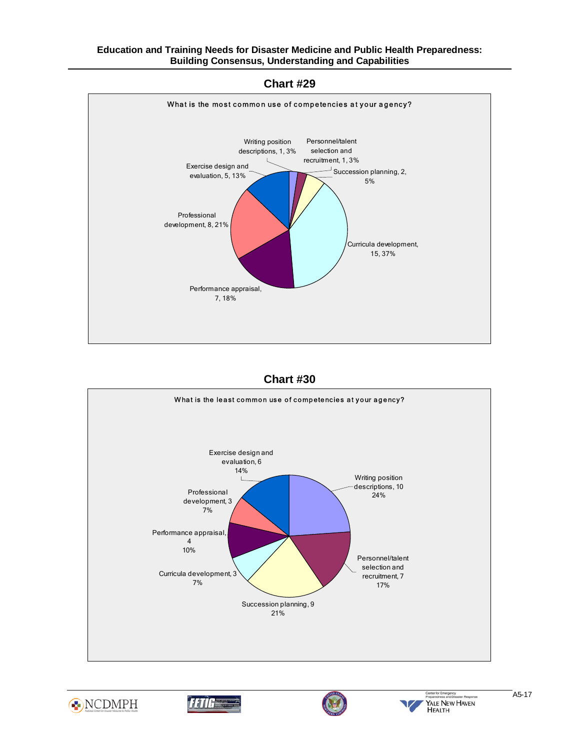## **Chart #29**



## **Chart #30**









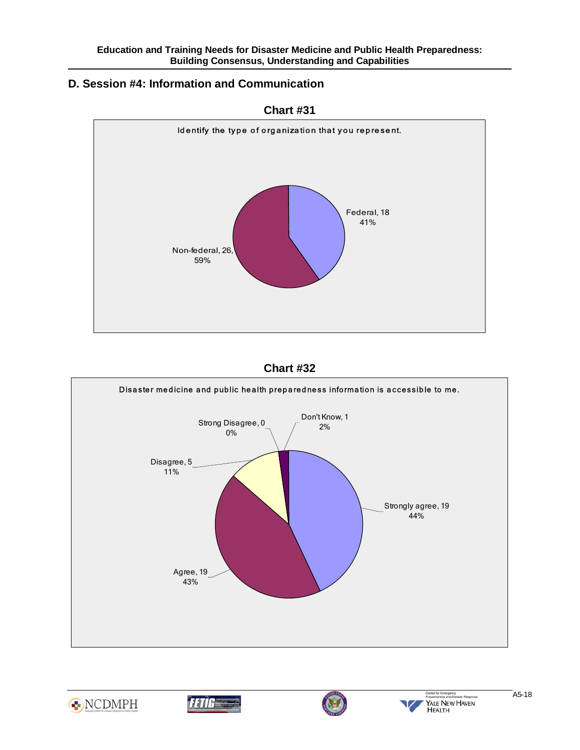#### Ī **D. Session #4: Information and Communication**



**Chart #31** 











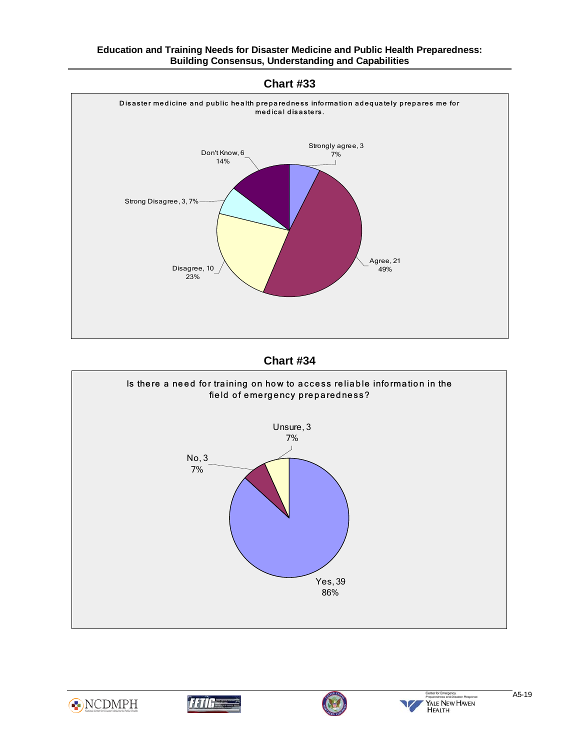













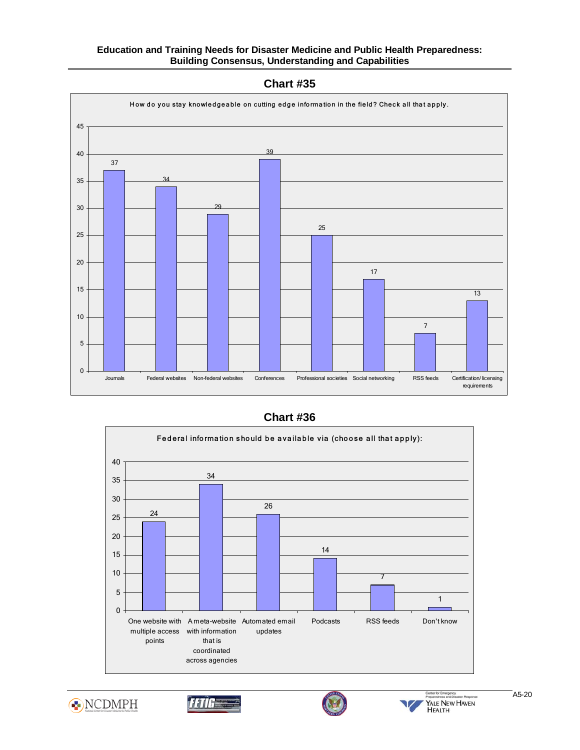

**Chart #35** 

# **Chart #36**









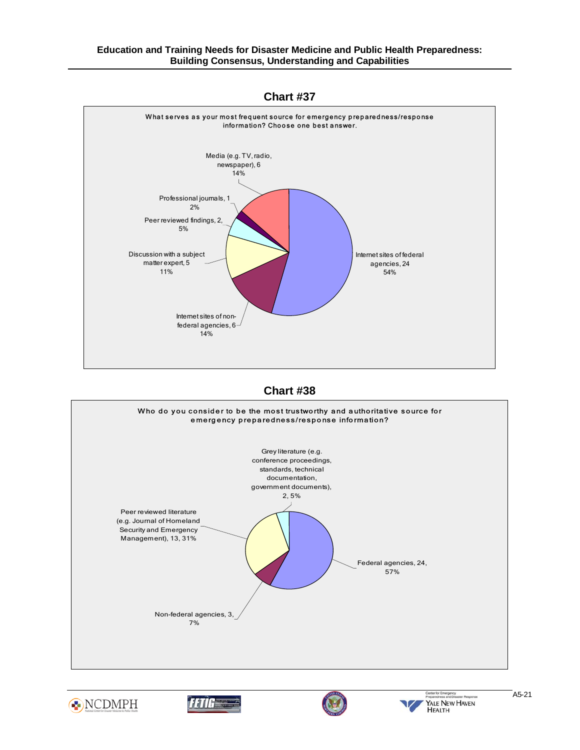



**Chart #38** 









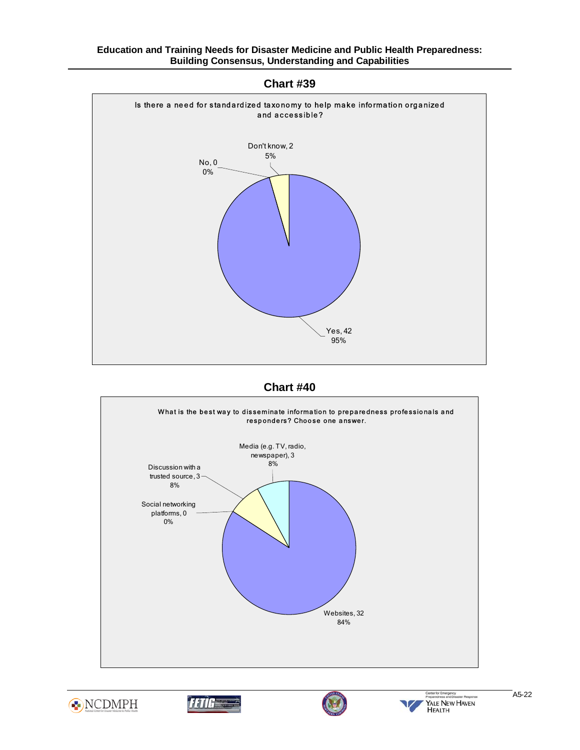

**Chart #39** 

**Chart #40** 









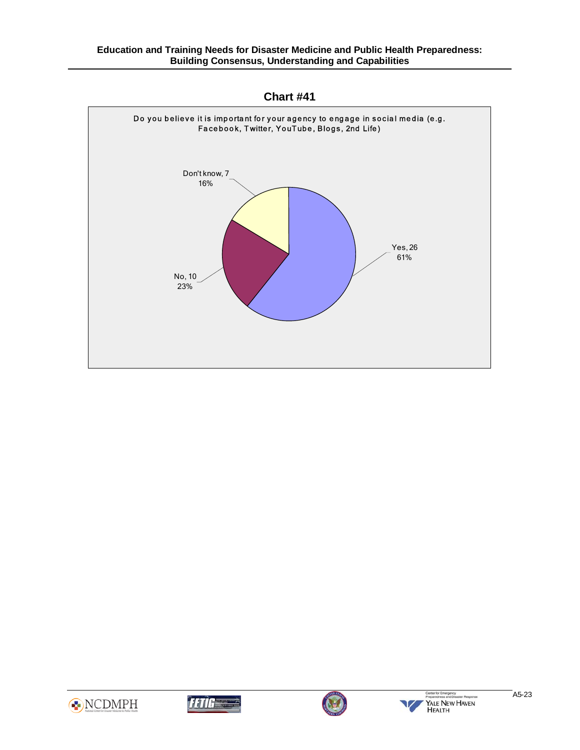

**Chart #41** 







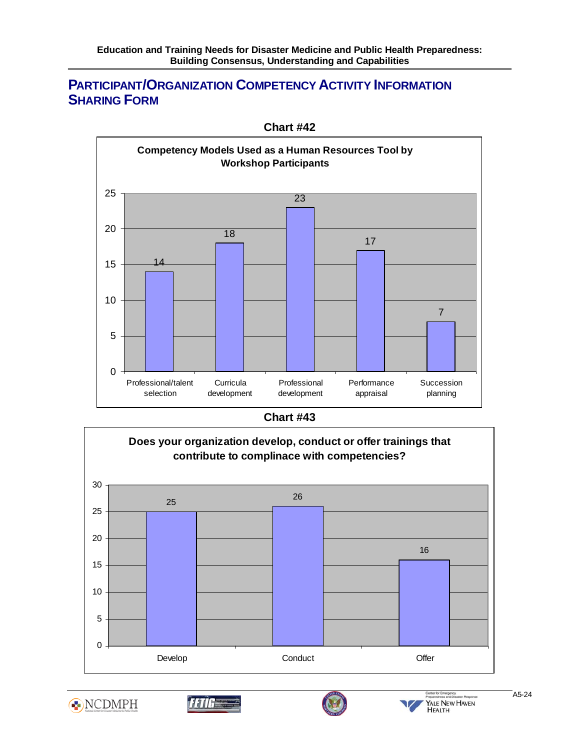## Ī **PARTICIPANT/ORGANIZATION COMPETENCY ACTIVITY INFORMATION SHARING FORM**



**Chart #42** 

**Chart #43** 









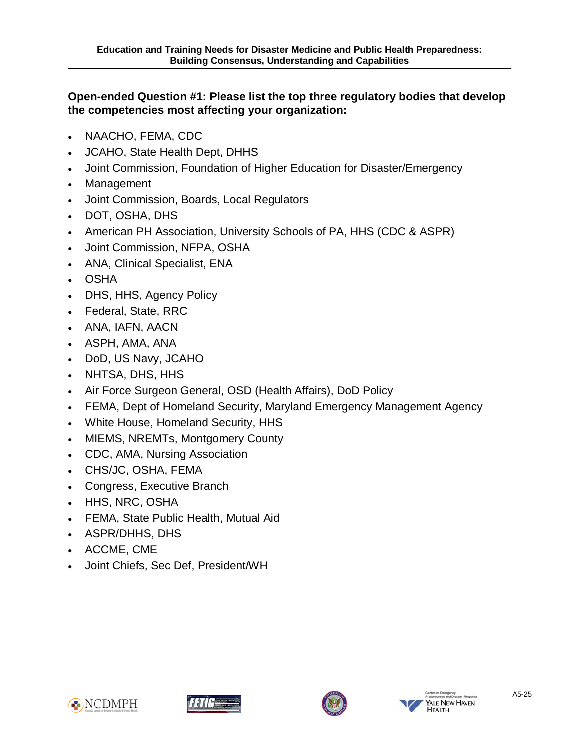# **Open-ended Question #1: Please list the top three regulatory bodies that develop the competencies most affecting your organization:**

- NAACHO, FEMA, CDC
- JCAHO, State Health Dept, DHHS
- Joint Commission, Foundation of Higher Education for Disaster/Emergency
- Management

- Joint Commission, Boards, Local Regulators
- DOT, OSHA, DHS
- American PH Association, University Schools of PA, HHS (CDC & ASPR)
- Joint Commission, NFPA, OSHA
- ANA, Clinical Specialist, ENA
- OSHA
- DHS, HHS, Agency Policy
- Federal, State, RRC
- ANA, IAFN, AACN
- ASPH, AMA, ANA
- DoD, US Navy, JCAHO
- NHTSA, DHS, HHS
- Air Force Surgeon General, OSD (Health Affairs), DoD Policy
- FEMA, Dept of Homeland Security, Maryland Emergency Management Agency
- White House, Homeland Security, HHS
- MIEMS, NREMTs, Montgomery County
- CDC, AMA, Nursing Association
- CHS/JC, OSHA, FEMA
- Congress, Executive Branch
- HHS, NRC, OSHA
- FEMA, State Public Health, Mutual Aid
- ASPR/DHHS, DHS
- ACCME, CME
- Joint Chiefs, Sec Def, President/WH







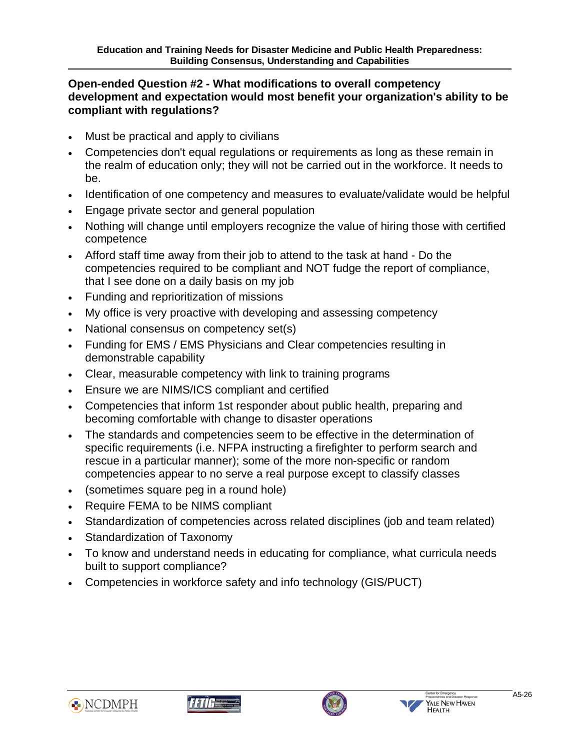## **Open-ended Question #2 - What modifications to overall competency development and expectation would most benefit your organization's ability to be compliant with regulations?**

• Must be practical and apply to civilians

- Competencies don't equal regulations or requirements as long as these remain in the realm of education only; they will not be carried out in the workforce. It needs to be.
- Identification of one competency and measures to evaluate/validate would be helpful
- Engage private sector and general population
- Nothing will change until employers recognize the value of hiring those with certified competence
- Afford staff time away from their job to attend to the task at hand Do the competencies required to be compliant and NOT fudge the report of compliance, that I see done on a daily basis on my job
- Funding and reprioritization of missions
- My office is very proactive with developing and assessing competency
- National consensus on competency set(s)
- Funding for EMS / EMS Physicians and Clear competencies resulting in demonstrable capability
- Clear, measurable competency with link to training programs
- Ensure we are NIMS/ICS compliant and certified
- Competencies that inform 1st responder about public health, preparing and becoming comfortable with change to disaster operations
- The standards and competencies seem to be effective in the determination of specific requirements (i.e. NFPA instructing a firefighter to perform search and rescue in a particular manner); some of the more non-specific or random competencies appear to no serve a real purpose except to classify classes
- (sometimes square peg in a round hole)
- Require FEMA to be NIMS compliant
- Standardization of competencies across related disciplines (job and team related)
- Standardization of Taxonomy
- To know and understand needs in educating for compliance, what curricula needs built to support compliance?
- Competencies in workforce safety and info technology (GIS/PUCT)







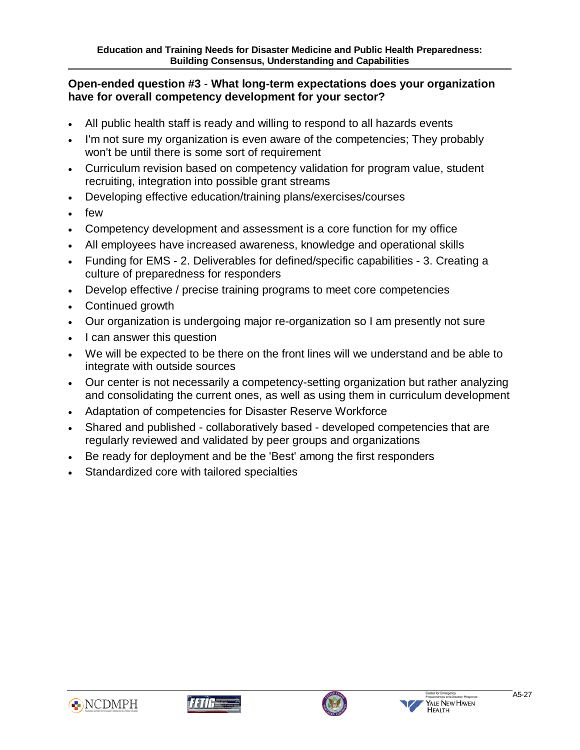## **Open-ended question #3** - **What long-term expectations does your organization have for overall competency development for your sector?**

- All public health staff is ready and willing to respond to all hazards events
- I'm not sure my organization is even aware of the competencies; They probably won't be until there is some sort of requirement
- Curriculum revision based on competency validation for program value, student recruiting, integration into possible grant streams
- Developing effective education/training plans/exercises/courses
- few

- Competency development and assessment is a core function for my office
- All employees have increased awareness, knowledge and operational skills
- Funding for EMS 2. Deliverables for defined/specific capabilities 3. Creating a culture of preparedness for responders
- Develop effective / precise training programs to meet core competencies
- Continued growth
- Our organization is undergoing major re-organization so I am presently not sure
- I can answer this question
- We will be expected to be there on the front lines will we understand and be able to integrate with outside sources
- Our center is not necessarily a competency-setting organization but rather analyzing and consolidating the current ones, as well as using them in curriculum development
- Adaptation of competencies for Disaster Reserve Workforce
- Shared and published collaboratively based developed competencies that are regularly reviewed and validated by peer groups and organizations
- Be ready for deployment and be the 'Best' among the first responders
- Standardized core with tailored specialties







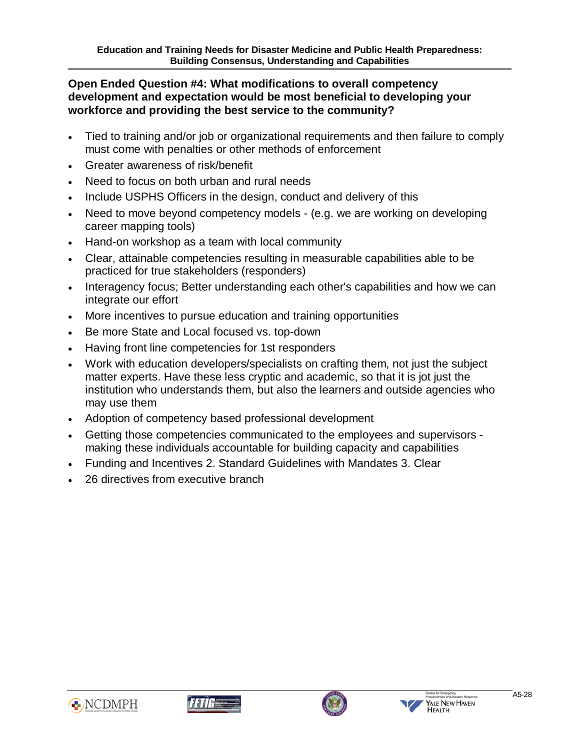#### Ī **Open Ended Question #4: What modifications to overall competency development and expectation would be most beneficial to developing your workforce and providing the best service to the community?**

- Tied to training and/or job or organizational requirements and then failure to comply must come with penalties or other methods of enforcement
- Greater awareness of risk/benefit
- Need to focus on both urban and rural needs
- Include USPHS Officers in the design, conduct and delivery of this
- Need to move beyond competency models (e.g. we are working on developing career mapping tools)
- Hand-on workshop as a team with local community
- Clear, attainable competencies resulting in measurable capabilities able to be practiced for true stakeholders (responders)
- Interagency focus; Better understanding each other's capabilities and how we can integrate our effort
- More incentives to pursue education and training opportunities
- Be more State and Local focused vs. top-down
- Having front line competencies for 1st responders
- Work with education developers/specialists on crafting them, not just the subject matter experts. Have these less cryptic and academic, so that it is jot just the institution who understands them, but also the learners and outside agencies who may use them
- Adoption of competency based professional development
- Getting those competencies communicated to the employees and supervisors making these individuals accountable for building capacity and capabilities
- Funding and Incentives 2. Standard Guidelines with Mandates 3. Clear
- 26 directives from executive branch







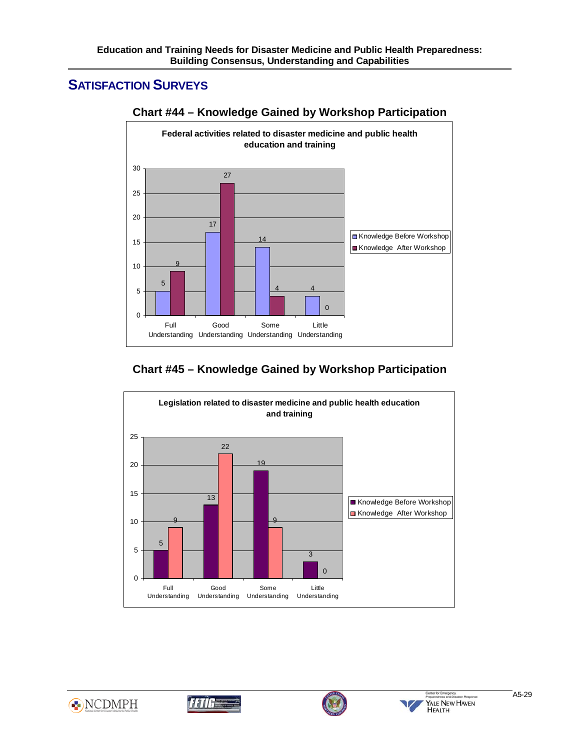# **SATISFACTION SURVEYS**

Ī



## **Chart #44 – Knowledge Gained by Workshop Participation**

## **Chart #45 – Knowledge Gained by Workshop Participation**









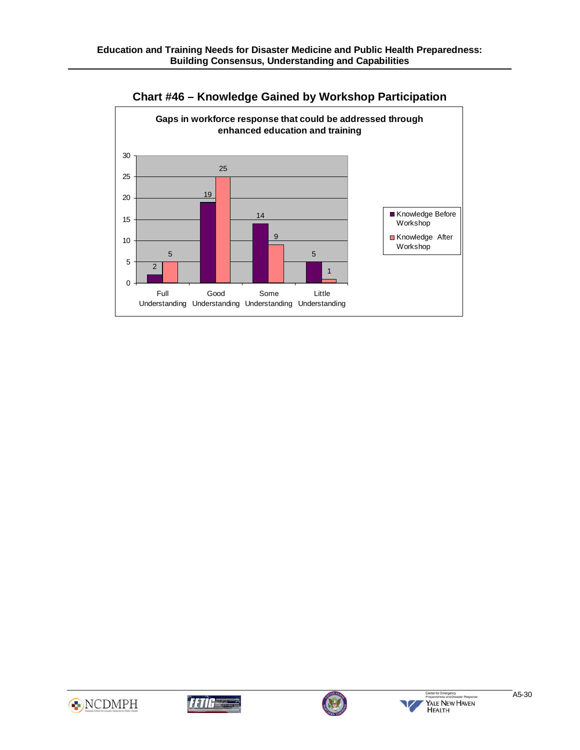





Ī





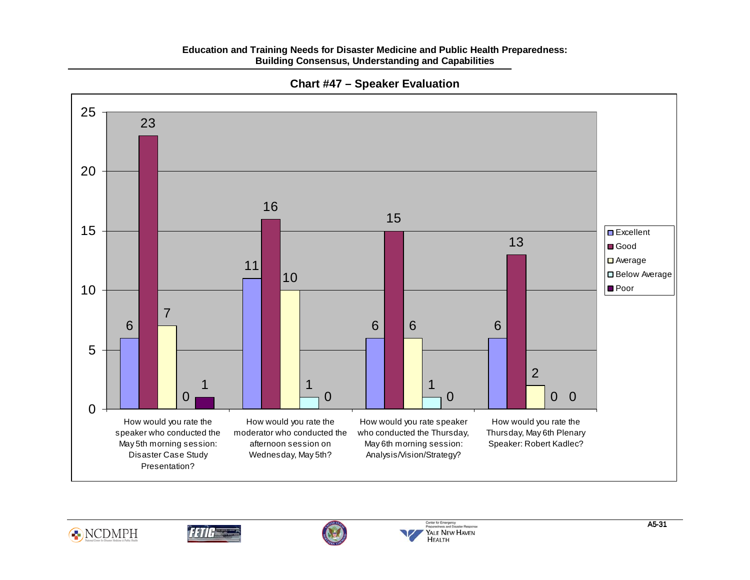### **Education and Training Needs for Disaster Medicine and Public Health Preparedness: Building Consensus, Understanding and Capabilities**



### **Chart #47 – Speaker Evaluation**







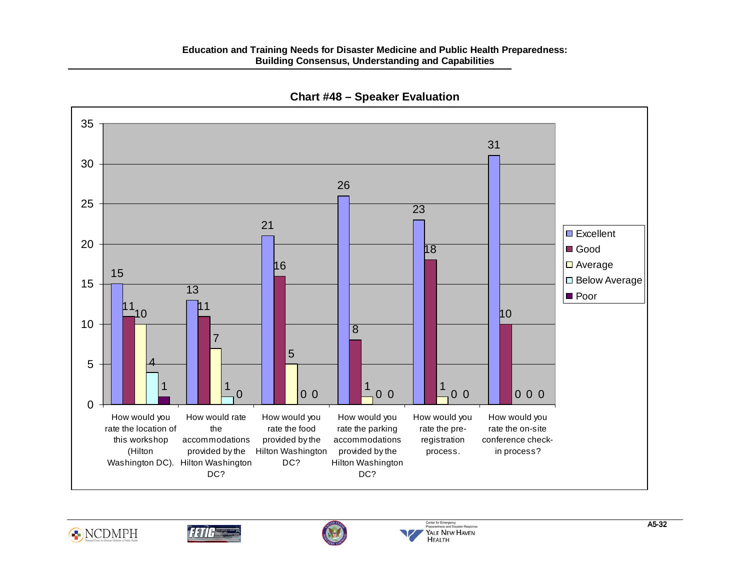#### **Education and Training Needs for Disaster Medicine and Public Health Preparedness: Building Consensus, Understanding and Capabilities**



**Chart #48 – Speaker Evaluation** 







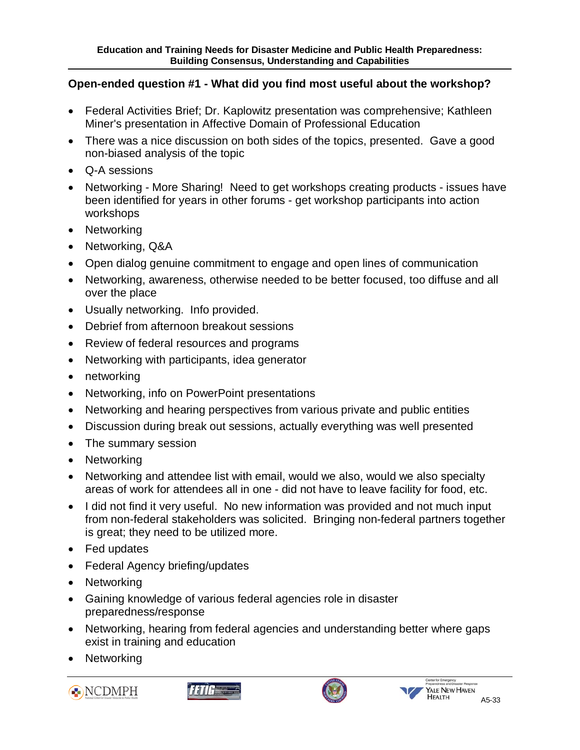#### Ī **Open-ended question #1 - What did you find most useful about the workshop?**

- Federal Activities Brief; Dr. Kaplowitz presentation was comprehensive; Kathleen Miner's presentation in Affective Domain of Professional Education
- There was a nice discussion on both sides of the topics, presented. Gave a good non-biased analysis of the topic
- Q-A sessions
- Networking More Sharing! Need to get workshops creating products issues have been identified for years in other forums - get workshop participants into action workshops
- Networking
- Networking, Q&A
- Open dialog genuine commitment to engage and open lines of communication
- Networking, awareness, otherwise needed to be better focused, too diffuse and all over the place
- Usually networking. Info provided.
- Debrief from afternoon breakout sessions
- Review of federal resources and programs
- Networking with participants, idea generator
- networking
- Networking, info on PowerPoint presentations
- Networking and hearing perspectives from various private and public entities
- Discussion during break out sessions, actually everything was well presented
- The summary session
- Networking
- Networking and attendee list with email, would we also, would we also specialty areas of work for attendees all in one - did not have to leave facility for food, etc.
- I did not find it very useful. No new information was provided and not much input from non-federal stakeholders was solicited. Bringing non-federal partners together is great; they need to be utilized more.
- Fed updates
- Federal Agency briefing/updates
- Networking
- Gaining knowledge of various federal agencies role in disaster preparedness/response
- Networking, hearing from federal agencies and understanding better where gaps exist in training and education
- **Networking**







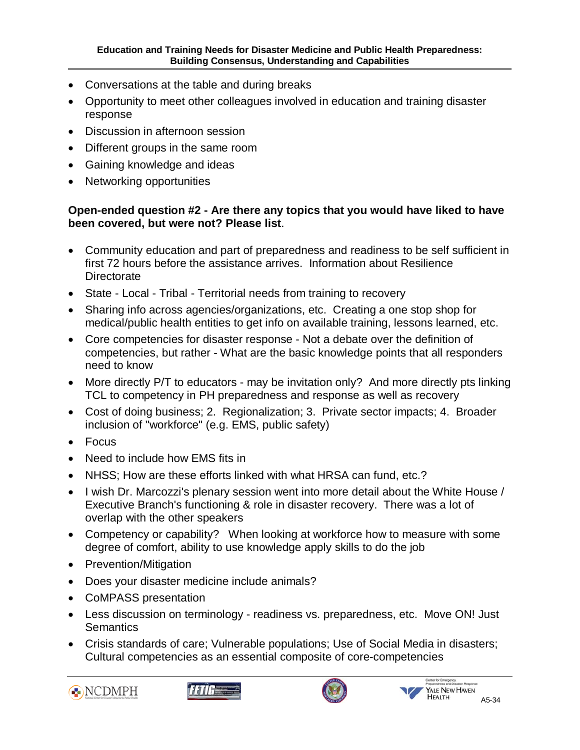- Conversations at the table and during breaks
- Opportunity to meet other colleagues involved in education and training disaster response
- Discussion in afternoon session
- Different groups in the same room
- Gaining knowledge and ideas
- Networking opportunities

Ī

## **Open-ended question #2 - Are there any topics that you would have liked to have been covered, but were not? Please list**.

- Community education and part of preparedness and readiness to be self sufficient in first 72 hours before the assistance arrives. Information about Resilience **Directorate**
- State Local Tribal Territorial needs from training to recovery
- Sharing info across agencies/organizations, etc. Creating a one stop shop for medical/public health entities to get info on available training, lessons learned, etc.
- Core competencies for disaster response Not a debate over the definition of competencies, but rather - What are the basic knowledge points that all responders need to know
- More directly P/T to educators may be invitation only? And more directly pts linking TCL to competency in PH preparedness and response as well as recovery
- Cost of doing business; 2. Regionalization; 3. Private sector impacts; 4. Broader inclusion of "workforce" (e.g. EMS, public safety)
- Focus
- **Need to include how EMS fits in**
- NHSS; How are these efforts linked with what HRSA can fund, etc.?
- I wish Dr. Marcozzi's plenary session went into more detail about the White House / Executive Branch's functioning & role in disaster recovery. There was a lot of overlap with the other speakers
- Competency or capability? When looking at workforce how to measure with some degree of comfort, ability to use knowledge apply skills to do the job
- Prevention/Mitigation
- Does your disaster medicine include animals?
- CoMPASS presentation
- Less discussion on terminology readiness vs. preparedness, etc. Move ON! Just **Semantics**
- Crisis standards of care; Vulnerable populations; Use of Social Media in disasters; Cultural competencies as an essential composite of core-competencies







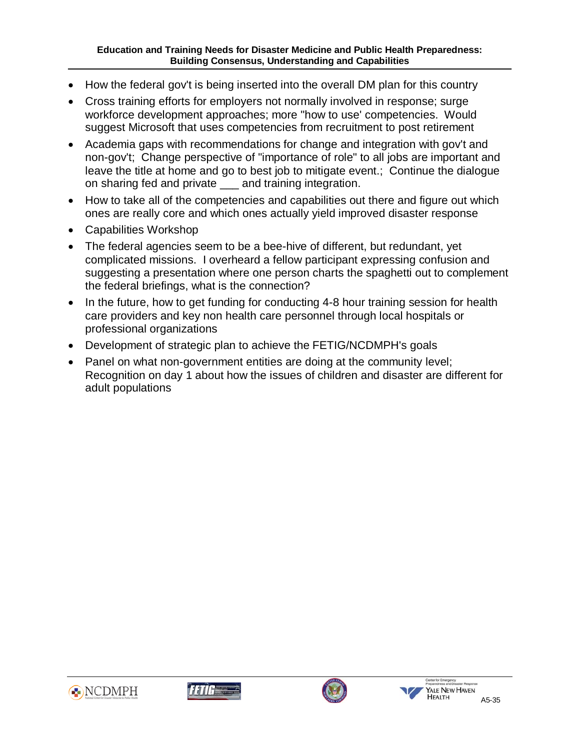- How the federal gov't is being inserted into the overall DM plan for this country
- Cross training efforts for employers not normally involved in response; surge workforce development approaches; more "how to use' competencies. Would suggest Microsoft that uses competencies from recruitment to post retirement
- Academia gaps with recommendations for change and integration with gov't and non-gov't; Change perspective of "importance of role" to all jobs are important and leave the title at home and go to best job to mitigate event.; Continue the dialogue on sharing fed and private \_\_\_ and training integration.
- How to take all of the competencies and capabilities out there and figure out which ones are really core and which ones actually yield improved disaster response
- Capabilities Workshop

Ī

- The federal agencies seem to be a bee-hive of different, but redundant, yet complicated missions. I overheard a fellow participant expressing confusion and suggesting a presentation where one person charts the spaghetti out to complement the federal briefings, what is the connection?
- In the future, how to get funding for conducting 4-8 hour training session for health care providers and key non health care personnel through local hospitals or professional organizations
- Development of strategic plan to achieve the FETIG/NCDMPH's goals
- Panel on what non-government entities are doing at the community level; Recognition on day 1 about how the issues of children and disaster are different for adult populations